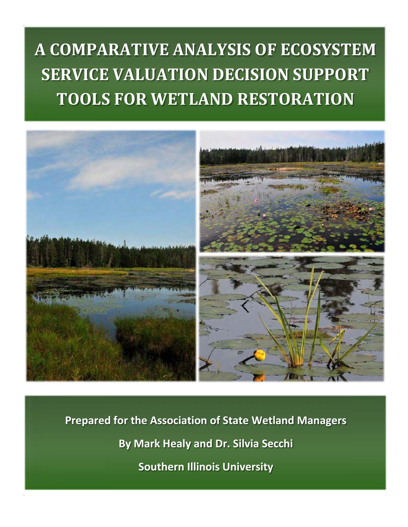# **A COMPARATIVE ANALYSIS OF ECOSYSTEM SERVICE VALUATION DECISION SUPPORT TOOLS FOR WETLAND RESTORATION**



**Prepared for the Association of State Wetland Managers By Mark Healy and Dr. Silvia Secchi Southern Illinois University**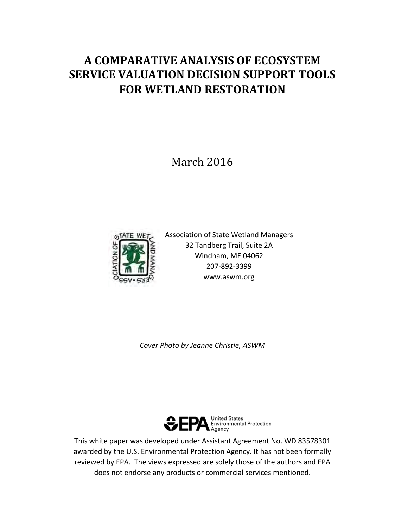# **A COMPARATIVE ANALYSIS OF ECOSYSTEM SERVICE VALUATION DECISION SUPPORT TOOLS FOR WETLAND RESTORATION**

March 2016



Association of State Wetland Managers 32 Tandberg Trail, Suite 2A Windham, ME 04062 207-892-3399 www.aswm.org

*Cover Photo by Jeanne Christie, ASWM*



This white paper was developed under Assistant Agreement No. WD 83578301 awarded by the U.S. Environmental Protection Agency. It has not been formally reviewed by EPA. The views expressed are solely those of the authors and EPA does not endorse any products or commercial services mentioned.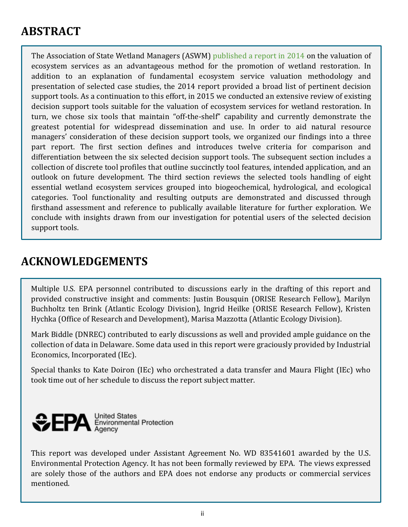# **ABSTRACT**

The Association of State Wetland Managers (ASWM) [published a report in 2014](http://www.aswm.org/state_meeting/2014/ecosystem_service_valuation_for_wetland_restoration.pdf) on the valuation of ecosystem services as an advantageous method for the promotion of wetland restoration. In addition to an explanation of fundamental ecosystem service valuation methodology and presentation of selected case studies, the 2014 report provided a broad list of pertinent decision support tools. As a continuation to this effort, in 2015 we conducted an extensive review of existing decision support tools suitable for the valuation of ecosystem services for wetland restoration. In turn, we chose six tools that maintain "off-the-shelf" capability and currently demonstrate the greatest potential for widespread dissemination and use. In order to aid natural resource managers' consideration of these decision support tools, we organized our findings into a three part report. The first section defines and introduces twelve criteria for comparison and differentiation between the six selected decision support tools. The subsequent section includes a collection of discrete tool profiles that outline succinctly tool features, intended application, and an outlook on future development. The third section reviews the selected tools handling of eight essential wetland ecosystem services grouped into biogeochemical, hydrological, and ecological categories. Tool functionality and resulting outputs are demonstrated and discussed through firsthand assessment and reference to publically available literature for further exploration. We conclude with insights drawn from our investigation for potential users of the selected decision support tools.

### **ACKNOWLEDGEMENTS**

Multiple U.S. EPA personnel contributed to discussions early in the drafting of this report and provided constructive insight and comments: Justin Bousquin (ORISE Research Fellow), Marilyn Buchholtz ten Brink (Atlantic Ecology Division), Ingrid Heilke (ORISE Research Fellow), Kristen Hychka (Office of Research and Development), Marisa Mazzotta (Atlantic Ecology Division).

Mark Biddle (DNREC) contributed to early discussions as well and provided ample guidance on the collection of data in Delaware. Some data used in this report were graciously provided by Industrial Economics, Incorporated (IEc).

Special thanks to Kate Doiron (IEc) who orchestrated a data transfer and Maura Flight (IEc) who took time out of her schedule to discuss the report subject matter.



This report was developed under Assistant Agreement No. WD 83541601 awarded by the U.S. Environmental Protection Agency. It has not been formally reviewed by EPA. The views expressed are solely those of the authors and EPA does not endorse any products or commercial services mentioned.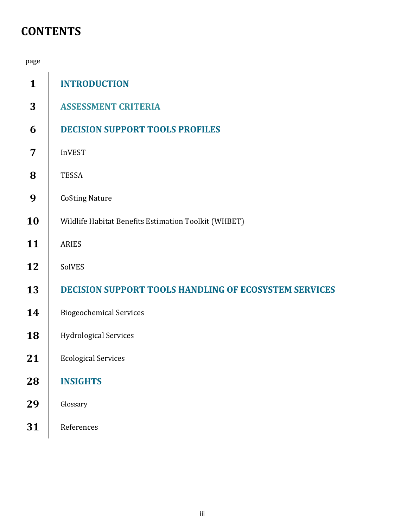# **CONTENTS**

| page         |                                                              |
|--------------|--------------------------------------------------------------|
| $\mathbf{1}$ | <b>INTRODUCTION</b>                                          |
| 3            | <b>ASSESSMENT CRITERIA</b>                                   |
| 6            | <b>DECISION SUPPORT TOOLS PROFILES</b>                       |
| 7            | <b>InVEST</b>                                                |
| 8            | <b>TESSA</b>                                                 |
| 9            | Co\$ting Nature                                              |
| 10           | Wildlife Habitat Benefits Estimation Toolkit (WHBET)         |
| 11           | <b>ARIES</b>                                                 |
| 12           | SolVES                                                       |
| 13           | <b>DECISION SUPPORT TOOLS HANDLING OF ECOSYSTEM SERVICES</b> |
| 14           | <b>Biogeochemical Services</b>                               |
| 18           | <b>Hydrological Services</b>                                 |
| 21           | <b>Ecological Services</b>                                   |
| 28           | <b>INSIGHTS</b>                                              |
| 29           | Glossary                                                     |
| 31           | References                                                   |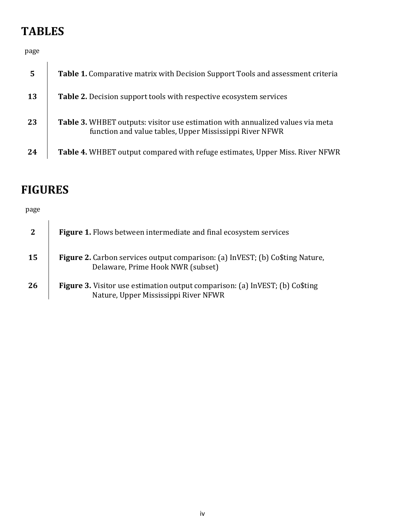# **TABLES**

page

| 5         | Table 1. Comparative matrix with Decision Support Tools and assessment criteria                                                                  |
|-----------|--------------------------------------------------------------------------------------------------------------------------------------------------|
| <b>13</b> | <b>Table 2.</b> Decision support tools with respective ecosystem services                                                                        |
| 23        | <b>Table 3.</b> WHBET outputs: visitor use estimation with annualized values via meta<br>function and value tables, Upper Mississippi River NFWR |
| 24        | <b>Table 4.</b> WHBET output compared with refuge estimates, Upper Miss. River NFWR                                                              |

# **FIGURES**

### page

| <sup>2</sup> | <b>Figure 1.</b> Flows between intermediate and final ecosystem services                                                    |
|--------------|-----------------------------------------------------------------------------------------------------------------------------|
| <b>15</b>    | Figure 2. Carbon services output comparison: (a) InVEST; (b) Co\$ting Nature,<br>Delaware, Prime Hook NWR (subset)          |
| 26           | <b>Figure 3.</b> Visitor use estimation output comparison: (a) InVEST; (b) Co\$ting<br>Nature, Upper Mississippi River NFWR |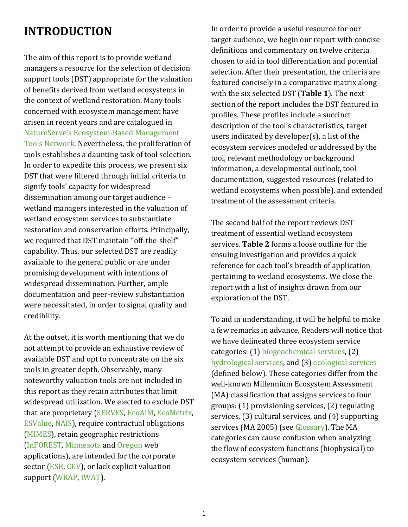# <span id="page-5-0"></span>**INTRODUCTION**

The aim of this report is to provide wetland managers a resource for the selection of decision support tools (DST) appropriate for the valuation of benefits derived from wetland ecosystems in the context of wetland restoration. Many tools concerned with ecosystem management have arisen in recent years and are catalogued in [NatureServe's Ecosystem-Based Management](https://ebmtoolsdatabase.org/tools)  [Tools Network.](https://ebmtoolsdatabase.org/tools) Nevertheless, the proliferation of tools establishes a daunting task of tool selection. In order to expedite this process, we present six DST that were filtered through initial criteria to signify tools' capacity for widespread dissemination among our target audience – wetland managers interested in the valuation of wetland ecosystem services to substantiate restoration and conservation efforts. Principally, we required that DST maintain "off-the-shelf" capability. Thus, our selected DST are readily available to the general public or are under promising development with intentions of widespread dissemination. Further, ample documentation and peer-review substantiation were necessitated, in order to signal quality and credibility.

At the outset, it is worth mentioning that we do not attempt to provide an exhaustive review of available DST and opt to concentrate on the six tools in greater depth. Observably, many noteworthy valuation tools are not included in this report as they retain attributes that limit widespread utilization. We elected to exclude DST that are proprietary [\(SERVES,](http://esvaluation.org/about-serves) [EcoAIM,](https://serdp-estcp.org/content/download/35587/341308/file/RC-201115-TR.pdf) [EcoMetrix,](http://www.parametrix.com/what-we-do/environmental/ecosystem-services) [ESValue,](http://www.cardno.com/en-us/MarketsandServices/Pages/Environment.aspx) [NAIS\)](http://www.sig-gis.com/services/ecosystem-services/), require contractual obligations [\(MIMES\)](http://www.sciencedirect.com/science/article/pii/S2212041615000054), retain geographic restrictions [\(InFOREST,](http://inforest.frec.vt.edu/) [Minnesota](http://oe.oregonexplorer.info/wetlands/restoration/) and [Oregon](http://oe.oregonexplorer.info/wetlands/restoration/) web applications), are intended for the corporate sector [\(ESR,](http://www.wri.org/publication/corporate-ecosystem-services-review) [CEV\)](http://www.wbcsd.org/pages/edocument/edocumentdetails.aspx?id=104&nosearchcontextkey=true), or lack explicit valuation support [\(WRAP,](http://www.wraptoolkit.org/) [IWAT\)](https://portals.iucn.org/library/efiles/documents/2009-015.pdf).

In order to provide a useful resource for our target audience, we begin our report with concise definitions and commentary on twelve criteria chosen to aid in tool differentiation and potential selection. After their presentation, the criteria are featured concisely in a comparative matrix along with the six selected DST (**Table 1**). The next section of the report includes the DST featured in profiles. These profiles include a succinct description of the tool's characteristics, target users indicated by developer(s), a list of the ecosystem services modeled or addressed by the tool, relevant methodology or background information, a developmental outlook, tool documentation, suggested resources (related to wetland ecosystems when possible), and extended treatment of the assessment criteria.

The second half of the report reviews DST treatment of essential wetland ecosystem services. **Table 2** forms a loose outline for the ensuing investigation and provides a quick reference for each tool's breadth of application pertaining to wetland ecosystems. We close the report with a list of insights drawn from our exploration of the DST.

To aid in understanding, it will be helpful to make a few remarks in advance. Readers will notice that we have delineated three ecosystem service categories: (1) [biogeochemical services,](#page-18-0) (2) [hydrological](#page-22-0) services, and (3) [ecological services](#page-25-0) (defined below). These categories differ from the well-known Millennium Ecosystem Assessment (MA) classification that assigns services to four groups: (1) provisioning services, (2) regulating services, (3) cultural services, and (4) supporting services (MA 2005) (see [Glossary\)](#page-33-0). The MA categories can cause confusion when analyzing the flow of ecosystem functions (biophysical) to ecosystem services (human).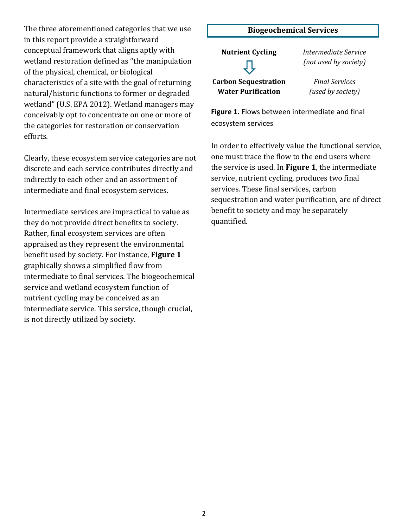The three aforementioned categories that we use in this report provide a straightforward conceptual framework that aligns aptly with wetland restoration defined as "the manipulation of the physical, chemical, or biological characteristics of a site with the goal of returning natural/historic functions to former or degraded wetland" (U.S. EPA 2012). Wetland managers may conceivably opt to concentrate on one or more of the categories for restoration or conservation efforts.

Clearly, these ecosystem service categories are not discrete and each service contributes directly and indirectly to each other and an assortment of intermediate and final ecosystem services.

Intermediate services are impractical to value as they do not provide direct benefits to society. Rather, final ecosystem services are often appraised as they represent the environmental benefit used by society. For instance, **Figure 1**  graphically shows a simplified flow from intermediate to final services. The biogeochemical service and wetland ecosystem function of nutrient cycling may be conceived as an intermediate service. This service, though crucial, is not directly utilized by society.

# <span id="page-6-0"></span>**Biogeochemical Services Nutrient Cycling** *Intermediate Service*

**Carbon Sequestration Water Purification**

*(not used by society)*

*Final Services (used by society)*

**Figure 1.** Flows between intermediate and final ecosystem services

In order to effectively value the functional service, one must trace the flow to the end users where the service is used. In **Figure 1**, the intermediate service, nutrient cycling, produces two final services. These final services, carbon sequestration and water purification, are of direct benefit to society and may be separately quantified.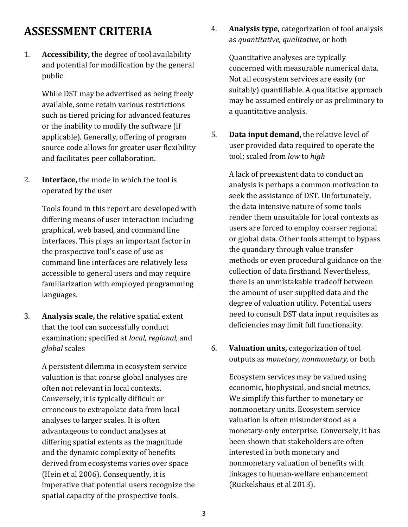# <span id="page-7-0"></span>**ASSESSMENT CRITERIA**

1. **Accessibility,** the degree of tool availability and potential for modification by the general public

> While DST may be advertised as being freely available, some retain various restrictions such as tiered pricing for advanced features or the inability to modify the software (if applicable). Generally, offering of program source code allows for greater user flexibility and facilitates peer collaboration.

2. **Interface,** the mode in which the tool is operated by the user

> Tools found in this report are developed with differing means of user interaction including graphical, web based, and command line interfaces. This plays an important factor in the prospective tool's ease of use as command line interfaces are relatively less accessible to general users and may require familiarization with employed programming languages.

3. **Analysis scale,** the relative spatial extent that the tool can successfully conduct examination; specified at *local, regional,* and *global* scales

> A persistent dilemma in ecosystem service valuation is that coarse global analyses are often not relevant in local contexts. Conversely, it is typically difficult or erroneous to extrapolate data from local analyses to larger scales. It is often advantageous to conduct analyses at differing spatial extents as the magnitude and the dynamic complexity of benefits derived from ecosystems varies over space (Hein et al 2006). Consequently, it is imperative that potential users recognize the spatial capacity of the prospective tools.

4. **Analysis type,** categorization of tool analysis as *quantitative*, *qualitative*, or both

Quantitative analyses are typically concerned with measurable numerical data. Not all ecosystem services are easily (or suitably) quantifiable. A qualitative approach may be assumed entirely or as preliminary to a quantitative analysis.

5. **Data input demand,** the relative level of user provided data required to operate the tool; scaled from *low* to *high*

A lack of preexistent data to conduct an analysis is perhaps a common motivation to seek the assistance of DST. Unfortunately, the data intensive nature of some tools render them unsuitable for local contexts as users are forced to employ coarser regional or global data. Other tools attempt to bypass the quandary through value transfer methods or even procedural guidance on the collection of data firsthand. Nevertheless, there is an unmistakable tradeoff between the amount of user supplied data and the degree of valuation utility. Potential users need to consult DST data input requisites as deficiencies may limit full functionality.

6. **Valuation units,** categorization of tool outputs as *monetary*, *nonmonetary,* or both

> Ecosystem services may be valued using economic, biophysical, and social metrics. We simplify this further to monetary or nonmonetary units. Ecosystem service valuation is often misunderstood as a monetary-only enterprise. Conversely, it has been shown that stakeholders are often interested in both monetary and nonmonetary valuation of benefits with linkages to human-welfare enhancement (Ruckelshaus et al 2013).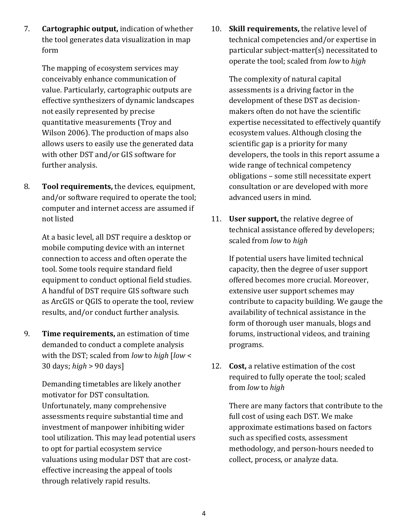7. **Cartographic output,** indication of whether the tool generates data visualization in map form

> The mapping of ecosystem services may conceivably enhance communication of value. Particularly, cartographic outputs are effective synthesizers of dynamic landscapes not easily represented by precise quantitative measurements (Troy and Wilson 2006). The production of maps also allows users to easily use the generated data with other DST and/or GIS software for further analysis.

8. **Tool requirements,** the devices, equipment, and/or software required to operate the tool; computer and internet access are assumed if not listed

> At a basic level, all DST require a desktop or mobile computing device with an internet connection to access and often operate the tool. Some tools require standard field equipment to conduct optional field studies. A handful of DST require GIS software such as ArcGIS or QGIS to operate the tool, review results, and/or conduct further analysis.

9. **Time requirements,** an estimation of time demanded to conduct a complete analysis with the DST; scaled from *low* to *high* [*low* < 30 days; *high* > 90 days]

> Demanding timetables are likely another motivator for DST consultation. Unfortunately, many comprehensive assessments require substantial time and investment of manpower inhibiting wider tool utilization. This may lead potential users to opt for partial ecosystem service valuations using modular DST that are costeffective increasing the appeal of tools through relatively rapid results.

10. **Skill requirements,** the relative level of technical competencies and/or expertise in particular subject-matter(s) necessitated to operate the tool; scaled from *low* to *high*

> The complexity of natural capital assessments is a driving factor in the development of these DST as decisionmakers often do not have the scientific expertise necessitated to effectively quantify ecosystem values. Although closing the scientific gap is a priority for many developers, the tools in this report assume a wide range of technical competency obligations – some still necessitate expert consultation or are developed with more advanced users in mind.

11. **User support,** the relative degree of technical assistance offered by developers; scaled from *low* to *high*

If potential users have limited technical capacity, then the degree of user support offered becomes more crucial. Moreover, extensive user support schemes may contribute to capacity building. We gauge the availability of technical assistance in the form of thorough user manuals, blogs and forums, instructional videos, and training programs.

12. **Cost,** a relative estimation of the cost required to fully operate the tool; scaled from *low* to *high*

> There are many factors that contribute to the full cost of using each DST. We make approximate estimations based on factors such as specified costs, assessment methodology, and person-hours needed to collect, process, or analyze data.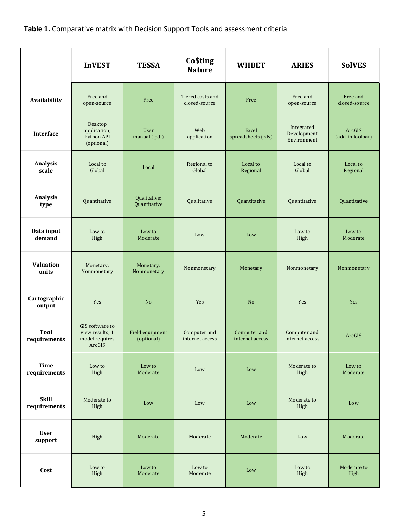### <span id="page-9-0"></span>**Table 1.** Comparative matrix with Decision Support Tools and assessment criteria

|                              | <b>InVEST</b>                                                         | <b>TESSA</b>                  | <b>Co\$ting</b><br><b>Nature</b>  | <b>WHBET</b>                    | <b>ARIES</b>                             | <b>SolVES</b>              |
|------------------------------|-----------------------------------------------------------------------|-------------------------------|-----------------------------------|---------------------------------|------------------------------------------|----------------------------|
| Availability                 | Free and<br>open-source                                               | Free                          | Tiered costs and<br>closed-source | Free                            | Free and<br>open-source                  | Free and<br>closed-source  |
| <b>Interface</b>             | Desktop<br>application;<br>Python API<br>(optional)                   | User<br>manual (.pdf)         | Web<br>application                | Excel<br>spreadsheets (.xls)    | Integrated<br>Development<br>Environment | ArcGIS<br>(add-in toolbar) |
| Analysis<br>scale            | Local to<br>Global                                                    | Local                         | Regional to<br>Global             | Local to<br>Regional            | Local to<br>Global                       | Local to<br>Regional       |
| Analysis<br>type             | Quantitative                                                          | Qualitative;<br>Quantitative  | Qualitative                       | Quantitative                    | Quantitative                             | Quantitative               |
| Data input<br>demand         | Low to<br>High                                                        | Low to<br>Moderate            | Low                               | Low                             | Low to<br>High                           | Low to<br>Moderate         |
| Valuation<br>units           | Monetary;<br>Nonmonetary                                              | Monetary;<br>Nonmonetary      | Nonmonetary                       | Monetary                        | Nonmonetary                              | Nonmonetary                |
| Cartographic<br>output       | <b>Yes</b>                                                            | N <sub>o</sub>                | Yes                               | No                              | Yes                                      | Yes                        |
| <b>Tool</b><br>requirements  | <b>GIS</b> software to<br>view results; 1<br>model requires<br>ArcGIS | Field equipment<br>(optional) | Computer and<br>internet access   | Computer and<br>internet access | Computer and<br>internet access          | ArcGIS                     |
| <b>Time</b><br>requirements  | Low to<br>High                                                        | Low to<br>Moderate            | Low                               | Low                             | Moderate to<br>High                      | Low to<br>Moderate         |
| <b>Skill</b><br>requirements | Moderate to<br>High                                                   | Low                           | Low                               | Low                             | Moderate to<br>High                      | Low                        |
| <b>User</b><br>support       | High                                                                  | Moderate                      | Moderate                          | Moderate                        | Low                                      | Moderate                   |
| Cost                         | Low to<br>High                                                        | Low to<br>Moderate            | Low to<br>Moderate                | Low                             | Low to<br>High                           | Moderate to<br>High        |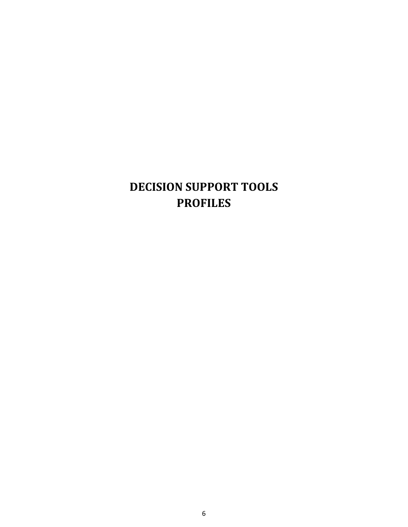# <span id="page-10-0"></span>**DECISION SUPPORT TOOLS PROFILES**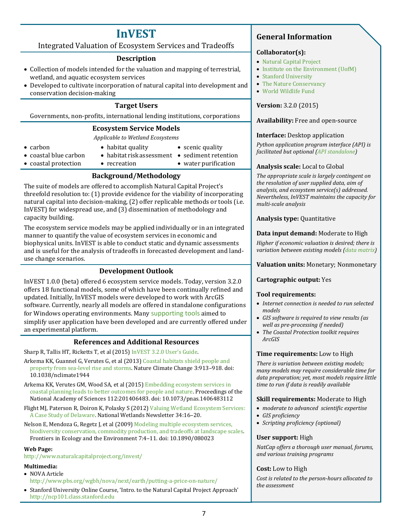# **InVEST**

### <span id="page-11-0"></span>Integrated Valuation of Ecosystem Services and Tradeoffs

### **Description**

- Collection of models intended for the valuation and mapping of terrestrial, wetland, and aquatic ecosystem services
- Developed to cultivate incorporation of natural capital into development and conservation decision-making

### **Target Users**

Governments, non-profits, international lending institutions, corporations

### **Ecosystem Service Models**

*Applicable to Wetland Ecosystems*

- carbon
- habitat quality • scenic quality
- coastal blue carbon
- habitat risk assessment sediment retention
- coastal protection
- water purification
- recreation

### **Background/Methodology**

The suite of models are offered to accomplish Natural Capital Project's threefold resolution to: (1) provide evidence for the viability of incorporating natural capital into decision-making, (2) offer replicable methods or tools (i.e. InVEST) for widespread use, and (3) dissemination of methodology and capacity building.

The ecosystem service models may be applied individually or in an integrated manner to quantify the value of ecosystem services in economic and biophysical units. InVEST is able to conduct static and dynamic assessments and is useful for the analysis of tradeoffs in forecasted development and landuse change scenarios.

### **Development Outlook**

InVEST 1.0.0 (beta) offered 6 ecosystem service models. Today, version 3.2.0 offers 18 functional models, some of which have been continually refined and updated. Initially, InVEST models were developed to work with ArcGIS software. Currently, nearly all models are offered in standalone configurations for Windows operating environments. Many [supporting tools](http://www.naturalcapitalproject.org/invest/#helper-tools) aimed to simplify user application have been developed and are currently offered under an experimental platform.

### **References and Additional Resources**

Sharp R, Tallis HT, Ricketts T, et al (2015) [InVEST 3.2.0 User's Guide.](http://data.naturalcapitalproject.org/nightly-build/invest-users-guide/InVEST_+VERSION+_Documentation.pdf) 

- Arkema KK, Guannel G, Verutes G, et al (2013[\) Coastal habitats shield people and](http://www.nature.com/nclimate/journal/v3/n10/full/nclimate1944.html)  [property from sea-level rise and storms.](http://www.nature.com/nclimate/journal/v3/n10/full/nclimate1944.html) Nature Climate Change 3:913–918. doi: 10.1038/nclimate1944
- Arkema KK, Verutes GM, Wood SA, et al (2015[\) Embedding ecosystem services in](http://www.pnas.org/content/112/24/7390.full.pdf)  [coastal planning leads to better outcomes for people and nature.](http://www.pnas.org/content/112/24/7390.full.pdf) Proceedings of the National Academy of Sciences 112:201406483. doi: 10.1073/pnas.1406483112
- Flight MJ, Paterson R, Doiron K, Polasky S (2012[\) Valuing Wetland Ecosystem Services:](http://www.indecon.com/iecweb/documents/flight%20et%20al%20Wetlands%202012.pdf)  [A Case Study of Delaware.](http://www.indecon.com/iecweb/documents/flight%20et%20al%20Wetlands%202012.pdf) National Wetlands Newsletter 34:16–20.
- Nelson E, Mendoza G, Regetz J, et al (2009) Modeling multiple ecosystem services, [biodiversity conservation, commodity production, and tradeoffs at landscape scales.](http://www.esajournals.org/doi/pdf/10.1890/080023)  Frontiers in Ecology and the Environment 7:4–11. doi: 10.1890/080023

### **Web Page:**

<http://www.naturalcapitalproject.org/invest/>

### **Multimedia:**

- NOVA Article
- <http://www.pbs.org/wgbh/nova/next/earth/putting-a-price-on-nature/>
- Stanford University Online Course, 'Intro. to the Natural Capital Project Approach' [http://ncp101.class.stanford.edu](http://ncp101.class.stanford.edu/)

### **General Information**

### **Collaborator(s):**

- [Natural Capital Project](http://www.naturalcapitalproject.org/)
- [Institute on the Environment \(UofM\)](http://environment.umn.edu/)
- [Stanford University](https://www.stanford.edu/)
- [The Nature Conservancy](http://www.nature.org/)
- [World Wildlife Fund](http://www.worldwildlife.org/)

### **Version:** 3.2.0 (2015)

### **Availability:** Free and open-source

### **Interface:** Desktop application

*Python application program interface (API) is facilitated but optional [\(API standalone\)](https://bitbucket.org/natcap/)* 

### **Analysis scale:** Local to Global

*The appropriate scale is largely contingent on the resolution of user supplied data, aim of analysis, and ecosystem service(s) addressed. Nevertheless, InVEST maintains the capacity for multi-scale analysis*

### **Analysis type:** Quantitative

### **Data input demand:** Moderate to High

*Higher if economic valuation is desired; there is variation between existing models [\(data matrix\)](http://www.naturalcapitalproject.org/pubs/InVEST_DataRequirements_June2014.xlsx)* 

### **Valuation units:** Monetary; Nonmonetary

### **Cartographic output:** Yes

### **Tool requirements:**

- *Internet connection is needed to run selected models*
- *GIS software is required to view results (as well as pre-processing if needed)*
- *The Coastal Protection toolkit requires ArcGIS*

### **Time requirements:** Low to High

*There is variation between existing models; many models may require considerable time for data preparation; yet, most models require little time to run if data is readily available*

### **Skill requirements:** Moderate to High

- *moderate to advanced scientific expertise*
- *GIS proficiency*
- *Scripting proficiency (optional)*

### **User support:** High

*NatCap offers a thorough user manual, forums, and various training programs*

### **Cost:** Low to High

*Cost is related to the person-hours allocated to the assessment*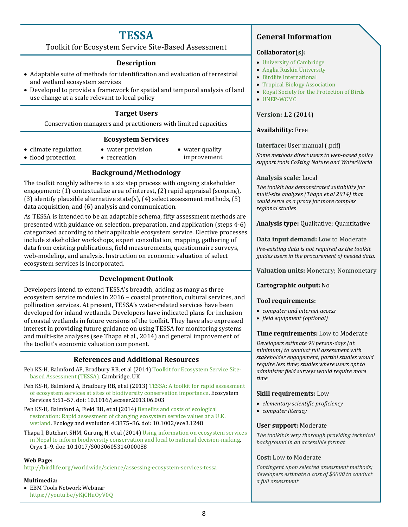### **TESSA**

<span id="page-12-0"></span>Toolkit for Ecosystem Service Site-Based Assessment

### **Description**

- Adaptable suite of methods for identification and evaluation of terrestrial and wetland ecosystem services
- Developed to provide a framework for spatial and temporal analysis of land use change at a scale relevant to local policy

### **Target Users**

Conservation managers and practitioners with limited capacities

### **Ecosystem Services**

- climate regulation • flood protection
- water provision • recreation
- water quality improvement

### **Background/Methodology**

The toolkit roughly adheres to a six step process with ongoing stakeholder engagement: (1) contextualize area of interest, (2) rapid appraisal (scoping), (3) identify plausible alternative state(s),  $(4)$  select assessment methods,  $(5)$ data acquisition, and (6) analysis and communication.

As TESSA is intended to be an adaptable schema, fifty assessment methods are presented with guidance on selection, preparation, and application (steps 4-6) categorized according to their applicable ecosystem service. Elective processes include stakeholder workshops, expert consultation, mapping, gathering of data from existing publications, field measurements, questionnaire surveys, web-modeling, and analysis. Instruction on economic valuation of select ecosystem services is incorporated.

### **Development Outlook**

Developers intend to extend TESSA's breadth, adding as many as three ecosystem service modules in 2016 – coastal protection, cultural services, and pollination services. At present, TESSA's water-related services have been developed for inland wetlands. Developers have indicated plans for inclusion of coastal wetlands in future versions of the toolkit. They have also expressed interest in providing future guidance on using TESSA for monitoring systems and multi-site analyses (see Thapa et al., 2014) and general improvement of the toolkit's economic valuation component.

### **References and Additional Resources**

- Peh KS-H, Balmford AP, Bradbury RB, et al (2014) [Toolkit for Ecosystem Service Site](http://tessa.tools/)[based Assessment \(TESSA\).](http://tessa.tools/) Cambridge, UK
- Peh KS-H, Balmford A, Bradbury RB, et al (2013[\) TESSA: A toolkit for rapid assessment](http://www.sciencedirect.com/science/article/pii/S2212041613000417)  [of ecosystem services at sites of biodiversity conservation importance.](http://www.sciencedirect.com/science/article/pii/S2212041613000417) Ecosystem Services 5:51–57. doi: 10.1016/j.ecoser.2013.06.003
- Peh KS-H, Balmford A, Field RH, et al (2014) [Benefits and costs of ecological](http://onlinelibrary.wiley.com/doi/10.1002/ece3.1248/full)  [restoration: Rapid assessment of changing ecosystem service values at a U.K.](http://onlinelibrary.wiley.com/doi/10.1002/ece3.1248/full)  [wetland.](http://onlinelibrary.wiley.com/doi/10.1002/ece3.1248/full) Ecology and evolution 4:3875–86. doi: 10.1002/ece3.1248
- Thapa I, Butchart SHM, Gurung H, et al (2014[\) Using information on ecosystem services](http://dx.doi.org/10.1017/S0030605314000088)  [in Nepal to inform biodiversity conservation and local to national decision-making.](http://dx.doi.org/10.1017/S0030605314000088)  Oryx 1–9. doi: 10.1017/S0030605314000088

### **Web Page:**

<http://birdlife.org/worldwide/science/assessing-ecosystem-services-tessa>

### **Multimedia:**

• EBM Tools Network Webinar [https://youtu.be/yKjCHuOyV0Q](https://vimeo.com/146021036)

### **General Information**

### **Collaborator(s):**

- [University of Cambridge](http://www.cam.ac.uk/)
- [Anglia Ruskin University](http://www.anglia.ac.uk/)
- [Birdlife International](http://www.birdlife.org/)
- [Tropical Biology Association](http://www.tropical-biology.org/)
- [Royal Society for the Protection of Birds](http://www.rspb.org.uk/)
- [UNEP-WCMC](http://www.unep-wcmc.org/)

### **Version:** 1.2 (2014)

### **Availability:** Free

### **Interface:** User manual (.pdf)

*Some methods direct users to web-based policy support tools Co\$ting Nature and WaterWorld*

### **Analysis scale:** Local

*The toolkit has demonstrated suitability for multi-site analyses (Thapa et al 2014) that could serve as a proxy for more complex regional studies*

**Analysis type:** Qualitative; Quantitative

### **Data input demand:** Low to Moderate

*Pre-existing data is not required as the toolkit guides users in the procurement of needed data.*

**Valuation units:** Monetary; Nonmonetary

### **Cartographic output:** No

### **Tool requirements:**

- *computer and internet access*
- *field equipment (optional)*

### **Time requirements:** Low to Moderate

*Developers estimate 90 person-days (at minimum) to conduct full assessment with stakeholder engagement; partial studies would require less time; studies where users opt to administer field surveys would require more time*

### **Skill requirements:** Low

- *elementary scientific proficiency*
- *computer literacy*

### **User support:** Moderate

*The toolkit is very thorough providing technical background in an accessible format*

### **Cost:** Low to Moderate

*Contingent upon selected assessment methods; developers estimate a cost of \$6000 to conduct a full assessment*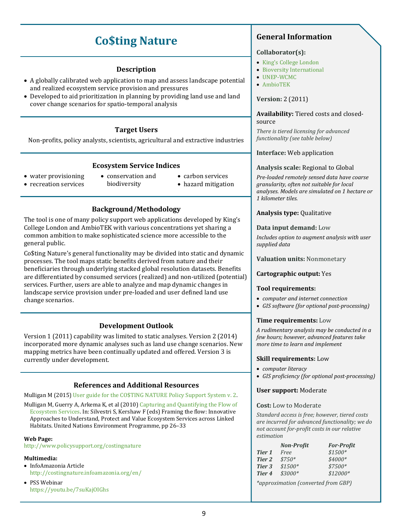# **Co\$ting Nature**

### **Description**

- <span id="page-13-0"></span>• A globally calibrated web application to map and assess landscape potential and realized ecosystem service provision and pressures
- Developed to aid prioritization in planning by providing land use and land cover change scenarios for spatio-temporal analysis

### **Target Users**

Non-profits, policy analysts, scientists, agricultural and extractive industries

### **Ecosystem Service Indices**

- water provisioning • recreation services
- conservation and biodiversity
- carbon services
- hazard mitigation

### **Background/Methodology**

The tool is one of many policy support web applications developed by King's College London and AmbioTEK with various concentrations yet sharing a common ambition to make sophisticated science more accessible to the general public.

Co\$ting Nature's general functionality may be divided into static and dynamic processes. The tool maps static benefits derived from nature and their beneficiaries through underlying stacked global resolution datasets. Benefits are differentiated by consumed services (realized) and non-utilized (potential) services. Further, users are able to analyze and map dynamic changes in landscape service provision under pre-loaded and user defined land use change scenarios.

### **Development Outlook**

Version 1 (2011) capability was limited to static analyses. Version 2 (2014) incorporated more dynamic analyses such as land use change scenarios. New mapping metrics have been continually updated and offered. Version 3 is currently under development.

### **References and Additional Resources**

Mulligan M (2015[\) User guide for the CO\\$TING NATURE Policy Support System](https://goo.gl/Grpbnb) v. 2.

Mulligan M, Guerry A, Arkema K, et al (2010) [Capturing and Quantifying the Flow of](http://www.unep.org/pdf/Framing_the_Flow_lowres_20final.pdf)  [Ecosystem Services.](http://www.unep.org/pdf/Framing_the_Flow_lowres_20final.pdf) In: Silvestri S, Kershaw F (eds) Framing the flow: Innovative Approaches to Understand, Protect and Value Ecosystem Services across Linked Habitats. United Nations Environment Programme, pp 26–33

### **Web Page:**

<http://www.policysupport.org/costingnature>

### **Multimedia:**

- InfoAmazonia Article <http://costingnature.infoamazonia.org/en/>
- PSS Webinar <https://youtu.be/7suKajOIGhs>

### **General Information**

### **Collaborator(s):**

- King['s College London](http://www.kcl.ac.uk/sspp/departments/geography/people/academic/mulligan/index.aspx)
- [Bioversity International](http://www.bioversityinternational.org/)
- [UNEP-WCMC](http://www.unep-wcmc.org/)
- [AmbioTEK](https://sites.google.com/site/ambiotekciccom/what-is-ambiotek-cic-1)

### **Version:** 2 (2011)

**Availability:** Tiered costs and closedsource

*There is tiered licensing for advanced functionality (see table below)*

### **Interface:** Web application

### **Analysis scale:** Regional to Global

*Pre-loaded remotely sensed data have coarse granularity, often not suitable for local analyses. Models are simulated on 1 hectare or 1 kilometer tiles.* 

### **Analysis type:** Qualitative

### **Data input demand:** Low

*Includes option to augment analysis with user supplied data*

### **Valuation units:** Nonmonetary

### **Cartographic output:** Yes

### **Tool requirements:**

- *computer and internet connection*
- *GIS software (for optional post-processing)*

### **Time requirements:** Low

*A rudimentary analysis may be conducted in a few hours; however, advanced features take more time to learn and implement*

### **Skill requirements:** Low

- *computer literacy*
- *GIS proficiency (for optional post-processing)*

### **User support:** Moderate

#### **Cost:** Low to Moderate

*Standard access is free; however, tiered costs are incurred for advanced functionality; we do not account for-profit costs in our relative estimation*

|        | <b>Non-Profit</b> | <b>For-Profit</b> |
|--------|-------------------|-------------------|
| Tier 1 | Free              | $$1500*$          |
| Tier 2 | $$750*$           | $$4000*$          |
| Tier 3 | $$1500*$          | $$7500*$          |
| Tier 4 | $$3000*$          | $$12000*$         |

*\*approximation (converted from GBP)*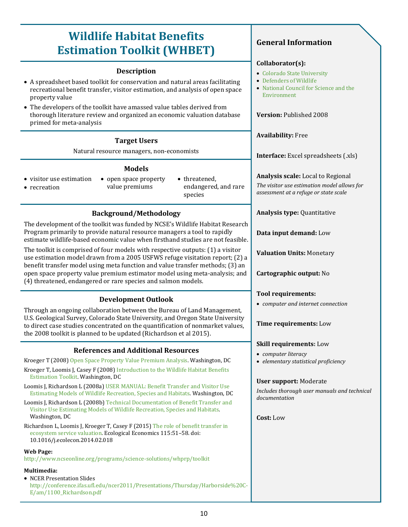# <span id="page-14-0"></span>**Wildlife Habitat Benefits Estimation Toolkit (WHBET)**

### **Description**

- A spreadsheet based toolkit for conservation and natural areas facilitating recreational benefit transfer, visitor estimation, and analysis of open space property value
- The developers of the toolkit have amassed value tables derived from thorough literature review and organized an economic valuation database primed for meta-analysis

### **Target Users**

Natural resource managers, non-economists

### **Models**

• visitor use estimation

• recreation

- open space property value premiums
- threatened, endangered, and rare species

### **Background/Methodology**

The development of the toolkit was funded by NCSE's Wildlife Habitat Research Program primarily to provide natural resource managers a tool to rapidly estimate wildlife-based economic value when firsthand studies are not feasible.

The toolkit is comprised of four models with respective outputs: (1) a visitor use estimation model drawn from a 2005 USFWS refuge visitation report; (2) a benefit transfer model using meta function and value transfer methods; (3) an open space property value premium estimator model using meta-analysis; and (4) threatened, endangered or rare species and salmon models.

### **Development Outlook**

Through an ongoing collaboration between the Bureau of Land Management, U.S. Geological Survey, Colorado State University, and Oregon State University to direct case studies concentrated on the quantification of nonmarket values, the 2008 toolkit is planned to be updated (Richardson et al 2015).

### **References and Additional Resources**

Kroeger T (2008[\) Open Space Property Value Premium Analysis.](http://webdoc.agsci.colostate.edu/DARE/Tools/Docs/OpenSpacePropVal.pdf) Washington, DC

- Kroeger T, Loomis J, Casey F (2008[\) Introduction to the Wildlife Habitat Benefits](http://webdoc.agsci.colostate.edu/DARE/Tools/Docs/IntroWildlifeHabitat.pdf)  [Estimation Toolkit.](http://webdoc.agsci.colostate.edu/DARE/Tools/Docs/IntroWildlifeHabitat.pdf) Washington, DC
- Loomis J, Richardson L (2008a[\) USER MANUAL: Benefit Transfer and Visitor Use](http://webdoc.agsci.colostate.edu/DARE/Tools/Docs/UserManual.pdf)  [Estimating Models of Wildlife Recreation, Species and Habitats.](http://webdoc.agsci.colostate.edu/DARE/Tools/Docs/UserManual.pdf) Washington, DC
- Loomis J, Richardson L (2008b[\) Technical Documentation of Benefit Transfer and](http://webdoc.agsci.colostate.edu/DARE/Tools/Docs/TechDoc.pdf)  [Visitor Use Estimating Models of Wildlife Recreation, Species and Habitats.](http://webdoc.agsci.colostate.edu/DARE/Tools/Docs/TechDoc.pdf)  Washington, DC

Richardson L, Loomis J, Kroeger T, Casey F (2015[\) The role of benefit transfer in](http://www.sciencedirect.com.proxy.lib.siu.edu/science/article/pii/S0921800914000652)  [ecosystem service valuation.](http://www.sciencedirect.com.proxy.lib.siu.edu/science/article/pii/S0921800914000652) Ecological Economics 115:51–58. doi: 10.1016/j.ecolecon.2014.02.018

### **Web Page:**

<http://www.ncseonline.org/programs/science-solutions/whprp/toolkit>

### **Multimedia:**

• NCER Presentation Slides [http://conference.ifas.ufl.edu/ncer2011/Presentations/Thursday/Harborside%20C-](http://conference.ifas.ufl.edu/ncer2011/Presentations/Thursday/Harborside%20C-E/am/1100_Richardson.pdf)[E/am/1100\\_Richardson.pdf](http://conference.ifas.ufl.edu/ncer2011/Presentations/Thursday/Harborside%20C-E/am/1100_Richardson.pdf)

### **General Information**

### **Collaborator(s):**

- [Colorado State University](http://dare.agsci.colostate.edu/)
- [Defenders of Wildlife](http://www.defenders.org/)
- [National Council for Science and the](http://www.ncseonline.org/program/wildlife-habitat-policy-research-program)  [Environment](http://www.ncseonline.org/program/wildlife-habitat-policy-research-program)

**Version:** Published 2008

**Availability:** Free

**Interface:** Excel spreadsheets (.xls)

**Analysis scale:** Local to Regional *The visitor use estimation model allows for assessment at a refuge or state scale*

**Analysis type:** Quantitative

**Data input demand:** Low

**Valuation Units:** Monetary

**Cartographic output:** No

### **Tool requirements:**

• *computer and internet connection*

**Time requirements:** Low

### **Skill requirements:** Low

- *computer literacy*
- *elementary statistical proficiency*

### **User support:** Moderate

*Includes thorough user manuals and technical documentation*

**Cost:** Low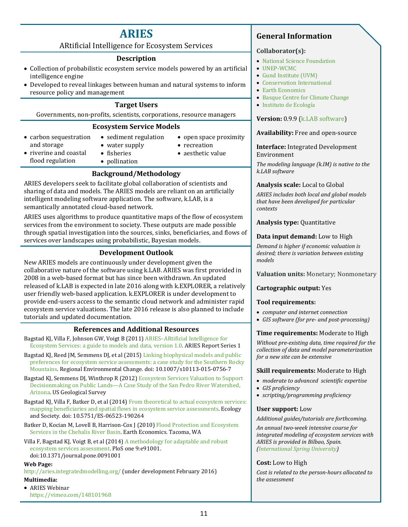### **ARIES**

ARtificial Intelligence for Ecosystem Services

### **Description**

- <span id="page-15-0"></span>• Collection of probabilistic ecosystem service models powered by an artificial intelligence engine
- Developed to reveal linkages between human and natural systems to inform resource policy and management

### **Target Users**

Governments, non-profits, scientists, corporations, resource managers

### **Ecosystem Service Models**

• sediment regulation

- carbon sequestration and storage
- water supply
- open space proximity • recreation
- 
- riverine and coastal flood regulation
- fisheries • pollination
- 
- aesthetic value

### **Background/Methodology**

ARIES developers seek to facilitate global collaboration of scientists and sharing of data and models. The ARIES models are reliant on an artificially intelligent modeling software application. The software, k.LAB, is a semantically annotated cloud-based network.

ARIES uses algorithms to produce quantitative maps of the flow of ecosystem services from the environment to society. These outputs are made possible through spatial investigation into the sources, sinks, beneficiaries, and flows of services over landscapes using probabilistic, Bayesian models.

### **Development Outlook**

New ARIES models are continuously under development given the collaborative nature of the software using k.LAB. ARIES was first provided in 2008 in a web-based format but has since been withdrawn. An updated released of k.LAB is expected in late 2016 along with k.EXPLORER, a relatively user friendly web-based application. k.EXPLORER is under development to provide end-users access to the semantic cloud network and administer rapid ecosystem service valuations. The late 2016 release is also planned to include tutorials and updated documentation.

### **References and Additional Resources**

- Bagstad KJ, Villa F, Johnson GW, Voigt B (2011[\) ARIES–ARtificial Intelligence for](http://www.ariesonline.org/docs/ARIESModelingGuide1.0.pdf)  [Ecosystem Services: a guide to models and data, version 1.0.](http://www.ariesonline.org/docs/ARIESModelingGuide1.0.pdf) ARIES Report Series 1
- Bagstad KJ, Reed JM, Semmens DJ, et al (2015) Linking biophysical models and public [preferences for ecosystem service assessments: a case study for the Southern Rocky](http://link.springer.com/article/10.1007/s10113-015-0756-7)  [Mountains.](http://link.springer.com/article/10.1007/s10113-015-0756-7) Regional Environmental Change. doi: 10.1007/s10113-015-0756-7

Bagstad KJ, Semmens DJ, Winthrop R (2012[\) Ecosystem Services Valuation to Support](http://pubs.usgs.gov/sir/2012/5251/)  [Decisionmaking on Public Lands—A Case Study of the San Pedro River Watershed,](http://pubs.usgs.gov/sir/2012/5251/)  [Arizona.](http://pubs.usgs.gov/sir/2012/5251/) US Geological Survey

Bagstad KJ, Villa F, Batker D, et al (2014[\) From theoretical to actual ecosystem services:](http://www.ecologyandsociety.org/vol19/iss2/art64/)  [mapping beneficiaries and spatial flows in ecosystem service assessments.](http://www.ecologyandsociety.org/vol19/iss2/art64/) Ecology and Society. doi: 10.5751/ES-06523-190264

Batker D, Kocian M, Lovell B, Harrison-Cox J (2010[\) Flood Protection and Ecosystem](http://www.eartheconomics.org/FileLibrary/file/Reports/Chehalis/Earth_Economics_Report_on_the_Chehalis_River_Basin_compressed.pdf)  [Services in the Chehalis River Basin.](http://www.eartheconomics.org/FileLibrary/file/Reports/Chehalis/Earth_Economics_Report_on_the_Chehalis_River_Basin_compressed.pdf) Earth Economics. Tacoma, WA

Villa F, Bagstad KJ, Voigt B, et al (2014[\) A methodology for adaptable and robust](http://journals.plos.org/plosone/article?id=10.1371/journal.pone.0091001)  [ecosystem services assessment.](http://journals.plos.org/plosone/article?id=10.1371/journal.pone.0091001) PloS one 9:e91001. doi:10.1371/journal.pone.0091001

### **Web Page:**

<http://aries.integratedmodelling.org/> (under development February 2016) **Multimedia:**

• ARIES Webinar <https://vimeo.com/148101968>

### **General Information**

### **Collaborator(s):**

- [National Science Foundation](http://www.nsf.gov/)
- [UNEP-WCMC](http://www.unep-wcmc.org/)
- [Gund Institute \(UVM\)](http://www.uvm.edu/giee/)
- [Conservation International](http://www.conservation.org/Pages/default.aspx)
- [Earth Economics](http://www.eartheconomics.org/)
- [Basque Centre for Climate Change](http://www.bc3research.org/)
- [Instituto de Ecología](http://www.inecol.edu.mx/inecol/index.php/es/)

### **Version:** 0.9.9 [\(k.LAB software\)](https://vimeo.com/152985926)

### **Availability:** Free and open-source

### **Interface:** Integrated Development Environment

*The modeling language (k.IM) is native to the k.LAB software*

### **Analysis scale:** Local to Global

*ARIES includes both local and global models that have been developed for particular contexts*

**Analysis type:** Quantitative

### **Data input demand:** Low to High

*Demand is higher if economic valuation is desired; there is variation between existing models*

**Valuation units:** Monetary; Nonmonetary

### **Cartographic output:** Yes

### **Tool requirements:**

- *computer and internet connection*
- *GIS software (for pre- and post-processing)*

### **Time requirements:** Moderate to High

*Without pre-existing data, time required for the collection of data and model parameterization for a new site can be extensive*

### **Skill requirements:** Moderate to High

- *moderate to advanced scientific expertise*
- *GIS proficiency*
- *scripting/programming proficiency*

### **User support:** Low

*Additional guides/tutorials are forthcoming.* 

*An annual two-week intensive course for integrated modeling of ecosystem services with ARIES is provided in Bilbao, Spain. [\(International Spring University\)](http://springuniversity.bc3research.org/)* 

### **Cost:** Low to High

*Cost is related to the person-hours allocated to the assessment*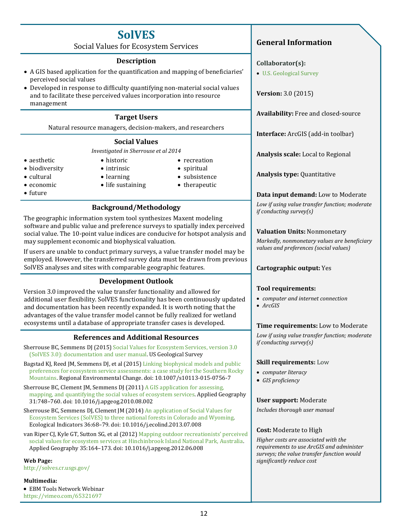# **SolVES**

Social Values for Ecosystem Services

### **Description**

- <span id="page-16-0"></span>• A GIS based application for the quantification and mapping of beneficiaries' perceived social values
- Developed in response to difficulty quantifying non-material social values and to facilitate these perceived values incorporation into resource management

### **Target Users**

Natural resource managers, decision-makers, and researchers

### **Social Values**

*Investigated in Sherrouse et al 2014*

• aesthetic

• economic • future

- biodiversity • cultural
- intrinsic
- learning
- life sustaining
- spiritual • subsistence
- therapeutic

• recreation

**Background/Methodology**

The geographic information system tool synthesizes Maxent modeling software and public value and preference surveys to spatially index perceived social value. The 10-point value indices are conducive for hotspot analysis and may supplement economic and biophysical valuation.

If users are unable to conduct primary surveys, a value transfer model may be employed. However, the transferred survey data must be drawn from previous SolVES analyses and sites with comparable geographic features.

### **Development Outlook**

Version 3.0 improved the value transfer functionality and allowed for additional user flexibility. SolVES functionality has been continuously updated and documentation has been recently expanded. It is worth noting that the advantages of the value transfer model cannot be fully realized for wetland ecosystems until a database of appropriate transfer cases is developed.

### **References and Additional Resources**

- Sherrouse BC, Semmens DJ (2015) Social Values [for Ecosystem Services, version 3.0](http://pubs.usgs.gov/of/2015/1008/pdf/ofr2015-1008.pdf)  [\(SolVES 3.0\): documentation and user manual.](http://pubs.usgs.gov/of/2015/1008/pdf/ofr2015-1008.pdf) US Geological Survey
- Bagstad KL, Reed JM, Semmens DL et al (2015) Linking biophysical models and public [preferences for ecosystem service assessments: a case study for the Southern Rocky](http://link.springer.com/article/10.1007/s10113-015-0756-7)  [Mountains.](http://link.springer.com/article/10.1007/s10113-015-0756-7) Regional Environmental Change. doi: 10.1007/s10113-015-0756-7

Sherrouse BC, Clement JM, Semmens DJ (2011) A GIS application for assessing, [mapping, and quantifying the social values of ecosystem services.](http://www.sciencedirect.com.proxy.lib.siu.edu/science/article/pii/S0143622810000858) Applied Geography 31:748–760. doi: 10.1016/j.apgeog.2010.08.002

- Sherrouse BC, Semmens DJ, Clement JM (2014) An application of Social Values for [Ecosystem Services \(SolVES\) to three national forests in Colorado and Wyoming.](http://www.sciencedirect.com/science/article/pii/S1470160X13002707)  Ecological Indicators 36:68–79. doi: 10.1016/j.ecolind.2013.07.008
- van Riper CJ, Kyle GT, Sutton SG, et al (2012[\) Mapping outdoor recreationists' perceived](http://www.sciencedirect.com/science/article/pii/S0143622812000641)  [social values for ecosystem services at Hinchinbrook Island National Park, Australia.](http://www.sciencedirect.com/science/article/pii/S0143622812000641)  Applied Geography 35:164–173. doi: 10.1016/j.apgeog.2012.06.008

### **Web Page:**

<http://solves.cr.usgs.gov/>

### **Multimedia:**

• EBM Tools Network Webinar <https://vimeo.com/65321697>

### **General Information**

### **Collaborator(s):**

• [U.S. Geological Survey](http://www.usgs.gov/)

**Version:** 3.0 (2015)

**Availability:** Free and closed-source

**Interface:** ArcGIS (add-in toolbar)

**Analysis scale:** Local to Regional

**Analysis type:** Quantitative

### **Data input demand:** Low to Moderate

*Low if using value transfer function; moderate if conducting survey(s)*

### **Valuation Units:** Nonmonetary

*Markedly, nonmonetary values are beneficiary values and preferences (social values)*

### **Cartographic output:** Yes

### **Tool requirements:**

- *computer and internet connection*
- *ArcGIS*

### **Time requirements:** Low to Moderate

*Low if using value transfer function; moderate if conducting survey(s)*

### **Skill requirements:** Low

- *computer literacy*
- *GIS proficiency*

### **User support:** Moderate

*Includes thorough user manual*

### **Cost:** Moderate to High

*Higher costs are associated with the requirements to use ArcGIS and administer surveys; the value transfer function would significantly reduce cost*

- historic
-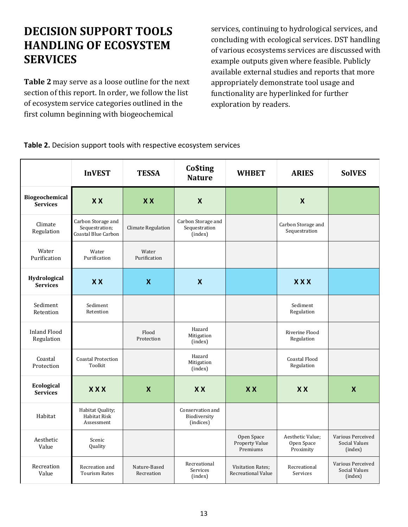# <span id="page-17-0"></span>**DECISION SUPPORT TOOLS HANDLING OF ECOSYSTEM SERVICES**

**Table 2** may serve as a loose outline for the next section of this report. In order, we follow the list of ecosystem service categories outlined in the first column beginning with biogeochemical

services, continuing to hydrological services, and concluding with ecological services. DST handling of various ecosystems services are discussed with example outputs given where feasible. Publicly available external studies and reports that more appropriately demonstrate tool usage and functionality are hyperlinked for further exploration by readers.

<span id="page-17-1"></span>**Table 2.** Decision support tools with respective ecosystem services

|                                   | <b>InVEST</b>                                               | <b>TESSA</b>               | <b>Co\$ting</b><br><b>Nature</b>               | <b>WHBET</b>                                          | <b>ARIES</b>                                | <b>SolVES</b>                                        |
|-----------------------------------|-------------------------------------------------------------|----------------------------|------------------------------------------------|-------------------------------------------------------|---------------------------------------------|------------------------------------------------------|
| Biogeochemical<br><b>Services</b> | <b>XX</b>                                                   | <b>XX</b>                  | $\boldsymbol{X}$                               |                                                       | $\boldsymbol{X}$                            |                                                      |
| Climate<br>Regulation             | Carbon Storage and<br>Sequestration;<br>Coastal Blue Carbon | <b>Climate Regulation</b>  | Carbon Storage and<br>Sequestration<br>(index) |                                                       | Carbon Storage and<br>Sequestration         |                                                      |
| Water<br>Purification             | Water<br>Purification                                       | Water<br>Purification      |                                                |                                                       |                                             |                                                      |
| Hydrological<br><b>Services</b>   | <b>XX</b>                                                   | $\boldsymbol{\mathsf{X}}$  | $\boldsymbol{X}$                               |                                                       | <b>XXX</b>                                  |                                                      |
| Sediment<br>Retention             | Sediment<br>Retention                                       |                            |                                                |                                                       | Sediment<br>Regulation                      |                                                      |
| <b>Inland Flood</b><br>Regulation |                                                             | Flood<br>Protection        | Hazard<br>Mitigation<br>(index)                |                                                       | Riverine Flood<br>Regulation                |                                                      |
| Coastal<br>Protection             | <b>Coastal Protection</b><br>Toolkit                        |                            | Hazard<br>Mitigation<br>(index)                |                                                       | <b>Coastal Flood</b><br>Regulation          |                                                      |
| Ecological<br><b>Services</b>     | <b>XXX</b>                                                  | $\boldsymbol{\mathsf{X}}$  | X X                                            | <b>XX</b>                                             | X X                                         | $\boldsymbol{\mathsf{X}}$                            |
| Habitat                           | Habitat Quality;<br><b>Habitat Risk</b><br>Assessment       |                            | Conservation and<br>Biodiversity<br>(indices)  |                                                       |                                             |                                                      |
| Aesthetic<br>Value                | Scenic<br>Quality                                           |                            |                                                | Open Space<br><b>Property Value</b><br>Premiums       | Aesthetic Value;<br>Open Space<br>Proximity | Various Perceived<br><b>Social Values</b><br>(index) |
| Recreation<br>Value               | Recreation and<br><b>Tourism Rates</b>                      | Nature-Based<br>Recreation | Recreational<br>Services<br>(index)            | <b>Visitation Rates;</b><br><b>Recreational Value</b> | Recreational<br>Services                    | Various Perceived<br><b>Social Values</b><br>(index) |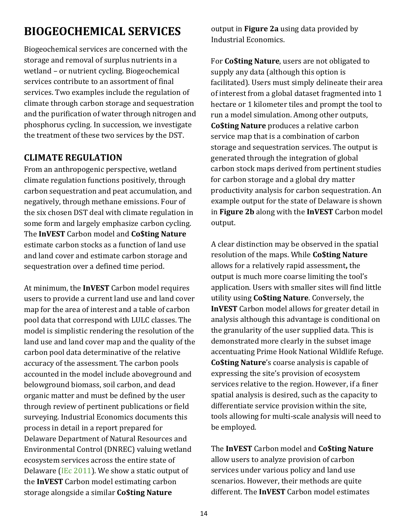# <span id="page-18-0"></span>**BIOGEOCHEMICAL SERVICES**

Biogeochemical services are concerned with the storage and removal of surplus nutrients in a wetland – or nutrient cycling. Biogeochemical services contribute to an assortment of final services. Two examples include the regulation of climate through carbon storage and sequestration and the purification of water through nitrogen and phosphorus cycling. In succession, we investigate the treatment of these two services by the DST.

### **CLIMATE REGULATION**

From an anthropogenic perspective, wetland climate regulation functions positively, through carbon sequestration and peat accumulation, and negatively, through methane emissions. Four of the six chosen DST deal with climate regulation in some form and largely emphasize carbon cycling. The **InVEST** Carbon model and **Co\$ting Nature**  estimate carbon stocks as a function of land use and land cover and estimate carbon storage and sequestration over a defined time period.

At minimum, the **InVEST** Carbon model requires users to provide a current land use and land cover map for the area of interest and a table of carbon pool data that correspond with LULC classes. The model is simplistic rendering the resolution of the land use and land cover map and the quality of the carbon pool data determinative of the relative accuracy of the assessment. The carbon pools accounted in the model include aboveground and belowground biomass, soil carbon, and dead organic matter and must be defined by the user through review of pertinent publications or field surveying. Industrial Economics documents this process in detail in a report prepared for Delaware Department of Natural Resources and Environmental Control (DNREC) valuing wetland ecosystem services across the entire state of Delaware [\(IEc 2011\)](http://www.dnrec.delaware.gov/Admin/DelawareWetlands/Documents/Economic%20Evaluation%20of%20Wetland%20Ecosystem%20Services%20in%20Delaware.pdf). We show a static output of the **InVEST** Carbon model estimating carbon storage alongside a similar **Co\$ting Nature** 

output in **Figure 2a** using data provided by Industrial Economics.

For **Co\$ting Nature**, users are not obligated to supply any data (although this option is facilitated). Users must simply delineate their area of interest from a global dataset fragmented into 1 hectare or 1 kilometer tiles and prompt the tool to run a model simulation. Among other outputs, **Co\$ting Nature** produces a relative carbon service map that is a combination of carbon storage and sequestration services. The output is generated through the integration of global carbon stock maps derived from pertinent studies for carbon storage and a global dry matter productivity analysis for carbon sequestration. An example output for the state of Delaware is shown in **Figure 2b** along with the **InVEST** Carbon model output.

A clear distinction may be observed in the spatial resolution of the maps. While **Co\$ting Nature**  allows for a relatively rapid assessment**,** the output is much more coarse limiting the tool's application. Users with smaller sites will find little utility using **Co\$ting Nature**. Conversely, the **InVEST** Carbon model allows for greater detail in analysis although this advantage is conditional on the granularity of the user supplied data. This is demonstrated more clearly in the subset image accentuating Prime Hook National Wildlife Refuge. **Co\$ting Nature**'s coarse analysis is capable of expressing the site's provision of ecosystem services relative to the region. However, if a finer spatial analysis is desired, such as the capacity to differentiate service provision within the site, tools allowing for multi-scale analysis will need to be employed.

The **InVEST** Carbon model and **Co\$ting Nature**  allow users to analyze provision of carbon services under various policy and land use scenarios. However, their methods are quite different. The **InVEST** Carbon model estimates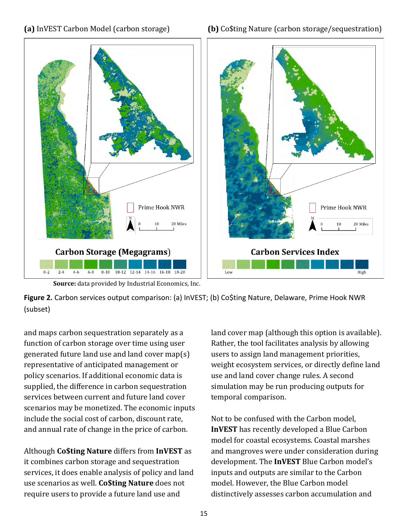### **(a)** InVEST Carbon Model (carbon storage) **(b)** Co\$ting Nature (carbon storage/sequestration)



 **Source:** data provided by Industrial Economics, Inc.

<span id="page-19-0"></span>**Figure 2.** Carbon services output comparison: (a) InVEST; (b) Co\$ting Nature, Delaware, Prime Hook NWR (subset)

and maps carbon sequestration separately as a function of carbon storage over time using user generated future land use and land cover map(s) representative of anticipated management or policy scenarios. If additional economic data is supplied, the difference in carbon sequestration services between current and future land cover scenarios may be monetized. The economic inputs include the social cost of carbon, discount rate, and annual rate of change in the price of carbon.

Although **Co\$ting Nature** differs from **InVEST** as it combines carbon storage and sequestration services, it does enable analysis of policy and land use scenarios as well. **Co\$ting Nature** does not require users to provide a future land use and

land cover map (although this option is available). Rather, the tool facilitates analysis by allowing users to assign land management priorities, weight ecosystem services, or directly define land use and land cover change rules. A second simulation may be run producing outputs for temporal comparison.

Not to be confused with the Carbon model, **InVEST** has recently developed a Blue Carbon model for coastal ecosystems. Coastal marshes and mangroves were under consideration during development. The **InVEST** Blue Carbon model's inputs and outputs are similar to the Carbon model. However, the Blue Carbon model distinctively assesses carbon accumulation and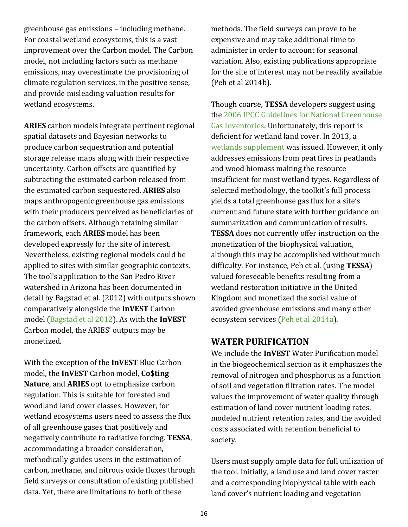greenhouse gas emissions – including methane. For coastal wetland ecosystems, this is a vast improvement over the Carbon model. The Carbon model, not including factors such as methane emissions, may overestimate the provisioning of climate regulation services, in the positive sense, and provide misleading valuation results for wetland ecosystems.

**ARIES** carbon models integrate pertinent regional spatial datasets and Bayesian networks to produce carbon sequestration and potential storage release maps along with their respective uncertainty. Carbon offsets are quantified by subtracting the estimated carbon released from the estimated carbon sequestered. **ARIES** also maps anthropogenic greenhouse gas emissions with their producers perceived as beneficiaries of the carbon offsets. Although retaining similar framework, each **ARIES** model has been developed expressly for the site of interest. Nevertheless, existing regional models could be applied to sites with similar geographic contexts. The tool's application to the San Pedro River watershed in Arizona has been documented in detail by Bagstad et al. (2012) with outputs shown comparatively alongside the **InVEST** Carbon model [\(Bagstad et al 2012\)](http://pubs.usgs.gov/sir/2012/5251/). As with the **InVEST** Carbon model, the ARIES' outputs may be monetized.

With the exception of the **InVEST** Blue Carbon model, the **InVEST** Carbon model, **Co\$ting Nature**, and **ARIES** opt to emphasize carbon regulation. This is suitable for forested and woodland land cover classes. However, for wetland ecosystems users need to assess the flux of all greenhouse gases that positively and negatively contribute to radiative forcing. **TESSA**, accommodating a broader consideration, methodically guides users in the estimation of carbon, methane, and nitrous oxide fluxes through field surveys or consultation of existing published data. Yet, there are limitations to both of these

methods. The field surveys can prove to be expensive and may take additional time to administer in order to account for seasonal variation. Also, existing publications appropriate for the site of interest may not be readily available (Peh et al 2014b).

Though coarse, **TESSA** developers suggest using the 2006 [IPCC Guidelines for National Greenhouse](http://www.ipcc-nggip.iges.or.jp/public/2006gl/)  [Gas Inventories.](http://www.ipcc-nggip.iges.or.jp/public/2006gl/) Unfortunately, this report is deficient for wetland land cover. In 2013, a [wetlands supplement](http://www.ipcc-nggip.iges.or.jp/public/wetlands/) was issued. However, it only addresses emissions from peat fires in peatlands and wood biomass making the resource insufficient for most wetland types. Regardless of selected methodology, the toolkit's full process yields a total greenhouse gas flux for a site's current and future state with further guidance on summarization and communication of results. **TESSA** does not currently offer instruction on the monetization of the biophysical valuation, although this may be accomplished without much difficulty. For instance, Peh et al. (using **TESSA**) valued foreseeable benefits resulting from a wetland restoration initiative in the United Kingdom and monetized the social value of avoided greenhouse emissions and many other ecosystem services [\(Peh et al 2014a\)](http://onlinelibrary.wiley.com/doi/10.1002/ece3.1248/full).

### **WATER PURIFICATION**

We include the **InVEST** Water Purification model in the biogeochemical section as it emphasizes the removal of nitrogen and phosphorus as a function of soil and vegetation filtration rates. The model values the improvement of water quality through estimation of land cover nutrient loading rates, modeled nutrient retention rates, and the avoided costs associated with retention beneficial to society.

Users must supply ample data for full utilization of the tool. Initially, a land use and land cover raster and a corresponding biophysical table with each land cover's nutrient loading and vegetation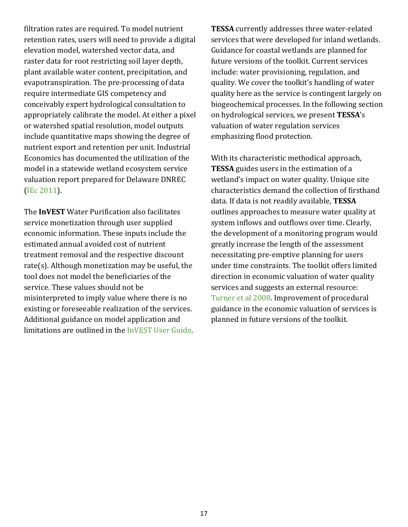filtration rates are required. To model nutrient retention rates, users will need to provide a digital elevation model, watershed vector data, and raster data for root restricting soil layer depth, plant available water content, precipitation, and evapotranspiration. The pre-processing of data require intermediate GIS competency and conceivably expert hydrological consultation to appropriately calibrate the model. At either a pixel or watershed spatial resolution, model outputs include quantitative maps showing the degree of nutrient export and retention per unit. Industrial Economics has documented the utilization of the model in a statewide wetland ecosystem service valuation report prepared for Delaware DNREC [\(IEc 2011\)](http://www.dnrec.delaware.gov/Admin/DelawareWetlands/Documents/Economic%20Evaluation%20of%20Wetland%20Ecosystem%20Services%20in%20Delaware.pdf).

The **InVEST** Water Purification also facilitates service monetization through user supplied economic information. These inputs include the estimated annual avoided cost of nutrient treatment removal and the respective discount rate(s). Although monetization may be useful, the tool does not model the beneficiaries of the service. These values should not be misinterpreted to imply value where there is no existing or foreseeable realization of the services. Additional guidance on model application and limitations are outlined in the [InVEST User Guide.](http://data.naturalcapitalproject.org/nightly-build/invest-users-guide/InVEST_+VERSION+_Documentation.pdf) 

**TESSA** currently addresses three water-related services that were developed for inland wetlands. Guidance for coastal wetlands are planned for future versions of the toolkit. Current services include: water provisioning, regulation, and quality. We cover the toolkit's handling of water quality here as the service is contingent largely on biogeochemical processes. In the following section on hydrological services, we present **TESSA**'s valuation of water regulation services emphasizing flood protection.

With its characteristic methodical approach, **TESSA** guides users in the estimation of a wetland's impact on water quality. Unique site characteristics demand the collection of firsthand data. If data is not readily available, **TESSA**  outlines approaches to measure water quality at system inflows and outflows over time. Clearly, the development of a monitoring program would greatly increase the length of the assessment necessitating pre-emptive planning for users under time constraints. The toolkit offers limited direction in economic valuation of water quality services and suggests an external resource: [Turner et al 2008.](https://www.routledge.com/products/9781849713542) Improvement of procedural guidance in the economic valuation of services is planned in future versions of the toolkit.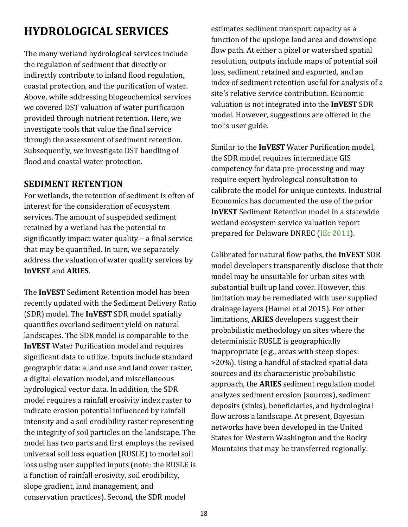# <span id="page-22-0"></span>**HYDROLOGICAL SERVICES**

The many wetland hydrological services include the regulation of sediment that directly or indirectly contribute to inland flood regulation, coastal protection, and the purification of water. Above, while addressing biogeochemical services we covered DST valuation of water purification provided through nutrient retention. Here, we investigate tools that value the final service through the assessment of sediment retention. Subsequently, we investigate DST handling of flood and coastal water protection.

### **SEDIMENT RETENTION**

For wetlands, the retention of sediment is often of interest for the consideration of ecosystem services. The amount of suspended sediment retained by a wetland has the potential to significantly impact water quality – a final service that may be quantified. In turn, we separately address the valuation of water quality services by **InVEST** and **ARIES**.

The **InVEST** Sediment Retention model has been recently updated with the Sediment Delivery Ratio (SDR) model. The **InVEST** SDR model spatially quantifies overland sediment yield on natural landscapes. The SDR model is comparable to the **InVEST** Water Purification model and requires significant data to utilize. Inputs include standard geographic data: a land use and land cover raster, a digital elevation model, and miscellaneous hydrological vector data. In addition, the SDR model requires a rainfall erosivity index raster to indicate erosion potential influenced by rainfall intensity and a soil erodibility raster representing the integrity of soil particles on the landscape. The model has two parts and first employs the revised universal soil loss equation (RUSLE) to model soil loss using user supplied inputs (note: the RUSLE is a function of rainfall erosivity, soil erodibility, slope gradient, land management, and conservation practices). Second, the SDR model

estimates sediment transport capacity as a function of the upslope land area and downslope flow path. At either a pixel or watershed spatial resolution, outputs include maps of potential soil loss, sediment retained and exported, and an index of sediment retention useful for analysis of a site's relative service contribution. Economic valuation is not integrated into the **InVEST** SDR model. However, suggestions are offered in the tool's user guide.

Similar to the **InVEST** Water Purification model, the SDR model requires intermediate GIS competency for data pre-processing and may require expert hydrological consultation to calibrate the model for unique contexts. Industrial Economics has documented the use of the prior **InVEST** Sediment Retention model in a statewide wetland ecosystem service valuation report prepared for Delaware DNREC [\(IEc 2011\)](http://www.dnrec.delaware.gov/Admin/DelawareWetlands/Documents/Economic%20Evaluation%20of%20Wetland%20Ecosystem%20Services%20in%20Delaware.pdf).

Calibrated for natural flow paths, the **InVEST** SDR model developers transparently disclose that their model may be unsuitable for urban sites with substantial built up land cover. However, this limitation may be remediated with user supplied drainage layers (Hamel et al 2015). For other limitations, **ARIES** developers suggest their probabilistic methodology on sites where the deterministic RUSLE is geographically inappropriate (e.g., areas with steep slopes: >20%). Using a handful of stacked spatial data sources and its characteristic probabilistic approach, the **ARIES** sediment regulation model analyzes sediment erosion (sources), sediment deposits (sinks), beneficiaries, and hydrological flow across a landscape. At present, Bayesian networks have been developed in the United States for Western Washington and the Rocky Mountains that may be transferred regionally.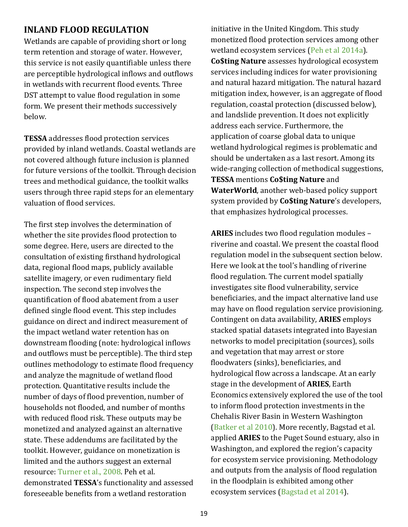### **INLAND FLOOD REGULATION**

Wetlands are capable of providing short or long term retention and storage of water. However, this service is not easily quantifiable unless there are perceptible hydrological inflows and outflows in wetlands with recurrent flood events. Three DST attempt to value flood regulation in some form. We present their methods successively below.

**TESSA** addresses flood protection services provided by inland wetlands. Coastal wetlands are not covered although future inclusion is planned for future versions of the toolkit. Through decision trees and methodical guidance, the toolkit walks users through three rapid steps for an elementary valuation of flood services.

The first step involves the determination of whether the site provides flood protection to some degree. Here, users are directed to the consultation of existing firsthand hydrological data, regional flood maps, publicly available satellite imagery, or even rudimentary field inspection. The second step involves the quantification of flood abatement from a user defined single flood event. This step includes guidance on direct and indirect measurement of the impact wetland water retention has on downstream flooding (note: hydrological inflows and outflows must be perceptible). The third step outlines methodology to estimate flood frequency and analyze the magnitude of wetland flood protection. Quantitative results include the number of days of flood prevention, number of households not flooded, and number of months with reduced flood risk. These outputs may be monetized and analyzed against an alternative state. These addendums are facilitated by the toolkit. However, guidance on monetization is limited and the authors suggest an external resource: [Turner et al., 2008.](https://www.routledge.com/products/9781849713542) Peh et al. demonstrated **TESSA**'s functionality and assessed foreseeable benefits from a wetland restoration

initiative in the United Kingdom. This study monetized flood protection services among other wetland ecosystem services [\(Peh et al 2014a\)](http://onlinelibrary.wiley.com/doi/10.1002/ece3.1248/full). **Co\$ting Nature** assesses hydrological ecosystem services including indices for water provisioning and natural hazard mitigation. The natural hazard mitigation index, however, is an aggregate of flood regulation, coastal protection (discussed below), and landslide prevention. It does not explicitly address each service. Furthermore, the application of coarse global data to unique wetland hydrological regimes is problematic and should be undertaken as a last resort. Among its wide-ranging collection of methodical suggestions, **TESSA** mentions **Co\$ting Nature** and **WaterWorld**, another web-based policy support system provided by **Co\$ting Nature**'s developers, that emphasizes hydrological processes.

**ARIES** includes two flood regulation modules – riverine and coastal. We present the coastal flood regulation model in the subsequent section below. Here we look at the tool's handling of riverine flood regulation. The current model spatially investigates site flood vulnerability, service beneficiaries, and the impact alternative land use may have on flood regulation service provisioning. Contingent on data availability, **ARIES** employs stacked spatial datasets integrated into Bayesian networks to model precipitation (sources), soils and vegetation that may arrest or store floodwaters (sinks), beneficiaries, and hydrological flow across a landscape. At an early stage in the development of **ARIES**, Earth Economics extensively explored the use of the tool to inform flood protection investments in the Chehalis River Basin in Western Washington [\(Batker et al 2010\)](http://www.eartheconomics.org/FileLibrary/file/Reports/Chehalis/Earth_Economics_Report_on_the_Chehalis_River_Basin_compressed.pdf). More recently, Bagstad et al. applied **ARIES** to the Puget Sound estuary, also in Washington, and explored the region's capacity for ecosystem service provisioning. Methodology and outputs from the analysis of flood regulation in the floodplain is exhibited among other ecosystem services [\(Bagstad et al 2014\)](http://www.ecologyandsociety.org/vol19/iss2/art64/).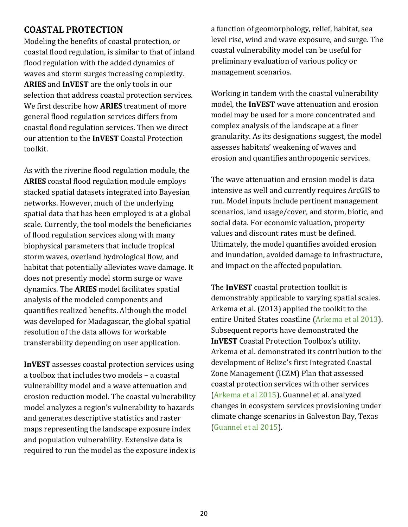### **COASTAL PROTECTION**

Modeling the benefits of coastal protection, or coastal flood regulation, is similar to that of inland flood regulation with the added dynamics of waves and storm surges increasing complexity. **ARIES** and **InVEST** are the only tools in our selection that address coastal protection services. We first describe how **ARIES** treatment of more general flood regulation services differs from coastal flood regulation services. Then we direct our attention to the **InVEST** Coastal Protection toolkit.

As with the riverine flood regulation module, the **ARIES** coastal flood regulation module employs stacked spatial datasets integrated into Bayesian networks. However, much of the underlying spatial data that has been employed is at a global scale. Currently, the tool models the beneficiaries of flood regulation services along with many biophysical parameters that include tropical storm waves, overland hydrological flow, and habitat that potentially alleviates wave damage. It does not presently model storm surge or wave dynamics. The **ARIES** model facilitates spatial analysis of the modeled components and quantifies realized benefits. Although the model was developed for Madagascar, the global spatial resolution of the data allows for workable transferability depending on user application.

**InVEST** assesses coastal protection services using a toolbox that includes two models – a coastal vulnerability model and a wave attenuation and erosion reduction model. The coastal vulnerability model analyzes a region's vulnerability to hazards and generates descriptive statistics and raster maps representing the landscape exposure index and population vulnerability. Extensive data is required to run the model as the exposure index is a function of geomorphology, relief, habitat, sea level rise, wind and wave exposure, and surge. The coastal vulnerability model can be useful for preliminary evaluation of various policy or management scenarios.

Working in tandem with the coastal vulnerability model, the **InVEST** wave attenuation and erosion model may be used for a more concentrated and complex analysis of the landscape at a finer granularity. As its designations suggest, the model assesses habitats' weakening of waves and erosion and quantifies anthropogenic services.

The wave attenuation and erosion model is data intensive as well and currently requires ArcGIS to run. Model inputs include pertinent management scenarios, land usage/cover, and storm, biotic, and social data. For economic valuation, property values and discount rates must be defined. Ultimately, the model quantifies avoided erosion and inundation, avoided damage to infrastructure, and impact on the affected population.

The **InVEST** coastal protection toolkit is demonstrably applicable to varying spatial scales. Arkema et al. (2013) applied the toolkit to the entire United States coastline [\(Arkema et al 2013\)](http://www.naturalcapitalproject.org/decisions/CoastalHazard_WebPortal.html). Subsequent reports have demonstrated the **InVEST** Coastal Protection Toolbox's utility. Arkema et al. demonstrated its contribution to the development of Belize's first Integrated Coastal Zone Management (ICZM) Plan that assessed coastal protection services with other services [\(Arkema et al 2015\)](http://www.pnas.org/content/112/24/7390.abstract). Guannel et al. analyzed changes in ecosystem services provisioning under climate change scenarios in Galveston Bay, Texas [\(Guannel et al 2015\)](http://www.naturalcapitalproject.org/pubs/Ecosystem_Service_Valuation_Galveston_Bay_under_Sea_Level_Rise_Scenario.pdf).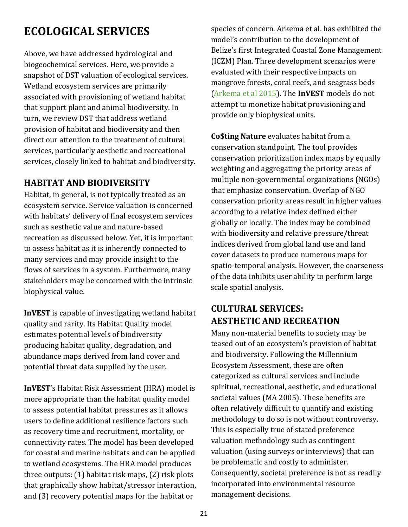# <span id="page-25-0"></span>**ECOLOGICAL SERVICES**

Above, we have addressed hydrological and biogeochemical services. Here, we provide a snapshot of DST valuation of ecological services. Wetland ecosystem services are primarily associated with provisioning of wetland habitat that support plant and animal biodiversity. In turn, we review DST that address wetland provision of habitat and biodiversity and then direct our attention to the treatment of cultural services, particularly aesthetic and recreational services, closely linked to habitat and biodiversity.

### **HABITAT AND BIODIVERSITY**

Habitat, in general, is not typically treated as an ecosystem service. Service valuation is concerned with habitats' delivery of final ecosystem services such as aesthetic value and nature-based recreation as discussed below. Yet, it is important to assess habitat as it is inherently connected to many services and may provide insight to the flows of services in a system. Furthermore, many stakeholders may be concerned with the intrinsic biophysical value.

**InVEST** is capable of investigating wetland habitat quality and rarity. Its Habitat Quality model estimates potential levels of biodiversity producing habitat quality, degradation, and abundance maps derived from land cover and potential threat data supplied by the user.

**InVEST**'s Habitat Risk Assessment (HRA) model is more appropriate than the habitat quality model to assess potential habitat pressures as it allows users to define additional resilience factors such as recovery time and recruitment, mortality, or connectivity rates. The model has been developed for coastal and marine habitats and can be applied to wetland ecosystems. The HRA model produces three outputs: (1) habitat risk maps, (2) risk plots that graphically show habitat/stressor interaction, and (3) recovery potential maps for the habitat or

species of concern. Arkema et al. has exhibited the model's contribution to the development of Belize's first Integrated Coastal Zone Management (ICZM) Plan. Three development scenarios were evaluated with their respective impacts on mangrove forests, coral reefs, and seagrass beds [\(Arkema et al 2015\)](http://www.pnas.org/content/112/24/7390.abstract). The **InVEST** models do not attempt to monetize habitat provisioning and provide only biophysical units.

**Co\$ting Nature** evaluates habitat from a conservation standpoint. The tool provides conservation prioritization index maps by equally weighting and aggregating the priority areas of multiple non-governmental organizations (NGOs) that emphasize conservation. Overlap of NGO conservation priority areas result in higher values according to a relative index defined either globally or locally. The index may be combined with biodiversity and relative pressure/threat indices derived from global land use and land cover datasets to produce numerous maps for spatio-temporal analysis. However, the coarseness of the data inhibits user ability to perform large scale spatial analysis.

### **CULTURAL SERVICES: AESTHETIC AND RECREATION**

Many non-material benefits to society may be teased out of an ecosystem's provision of habitat and biodiversity. Following the Millennium Ecosystem Assessment, these are often categorized as cultural services and include spiritual, recreational, aesthetic, and educational societal values (MA 2005). These benefits are often relatively difficult to quantify and existing methodology to do so is not without controversy. This is especially true of stated preference valuation methodology such as contingent valuation (using surveys or interviews) that can be problematic and costly to administer. Consequently, societal preference is not as readily incorporated into environmental resource management decisions.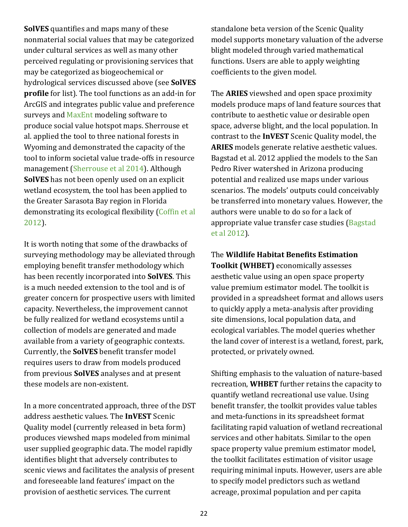**SolVES** quantifies and maps many of these nonmaterial social values that may be categorized under cultural services as well as many other perceived regulating or provisioning services that may be categorized as biogeochemical or hydrological services discussed above (see **SolVES profile** for list). The tool functions as an add-in for ArcGIS and integrates public value and preference surveys and [MaxEnt](https://www.cs.princeton.edu/~schapire/maxent/) modeling software to produce social value hotspot maps. Sherrouse et al. applied the tool to three national forests in Wyoming and demonstrated the capacity of the tool to inform societal value trade-offs in resource management [\(Sherrouse et al 2014\)](https://www.researchgate.net/publication/259160411_An_application_of_Social_Values_for_Ecosystem_Services_SolVES_to_three_national_forests_in_Colorado_and_Wyoming). Although **SolVES** has not been openly used on an explicit wetland ecosystem, the tool has been applied to the Greater Sarasota Bay region in Florida demonstrating its ecological flexibility [\(Coffin et al](http://pubs.usgs.gov/fs/2012/3125/)  [2012\)](http://pubs.usgs.gov/fs/2012/3125/).

It is worth noting that some of the drawbacks of surveying methodology may be alleviated through employing benefit transfer methodology which has been recently incorporated into **SolVES**. This is a much needed extension to the tool and is of greater concern for prospective users with limited capacity. Nevertheless, the improvement cannot be fully realized for wetland ecosystems until a collection of models are generated and made available from a variety of geographic contexts. Currently, the **SolVES** benefit transfer model requires users to draw from models produced from previous **SolVES** analyses and at present these models are non-existent.

In a more concentrated approach, three of the DST address aesthetic values. The **InVEST** Scenic Quality model (currently released in beta form) produces viewshed maps modeled from minimal user supplied geographic data. The model rapidly identifies blight that adversely contributes to scenic views and facilitates the analysis of present and foreseeable land features' impact on the provision of aesthetic services. The current

standalone beta version of the Scenic Quality model supports monetary valuation of the adverse blight modeled through varied mathematical functions. Users are able to apply weighting coefficients to the given model.

The **ARIES** viewshed and open space proximity models produce maps of land feature sources that contribute to aesthetic value or desirable open space, adverse blight, and the local population. In contrast to the **InVEST** Scenic Quality model, the **ARIES** models generate relative aesthetic values. Bagstad et al. 2012 applied the models to the San Pedro River watershed in Arizona producing potential and realized use maps under various scenarios. The models' outputs could conceivably be transferred into monetary values. However, the authors were unable to do so for a lack of appropriate value transfer case studies [\(Bagstad](http://pubs.usgs.gov/sir/2012/5251/)  [et al 2012\)](http://pubs.usgs.gov/sir/2012/5251/).

The **Wildlife Habitat Benefits Estimation Toolkit (WHBET)** economically assesses aesthetic value using an open space property value premium estimator model. The toolkit is provided in a spreadsheet format and allows users to quickly apply a meta-analysis after providing site dimensions, local population data, and ecological variables. The model queries whether the land cover of interest is a wetland, forest, park, protected, or privately owned.

Shifting emphasis to the valuation of nature-based recreation, **WHBET** further retains the capacity to quantify wetland recreational use value. Using benefit transfer, the toolkit provides value tables and meta-functions in its spreadsheet format facilitating rapid valuation of wetland recreational services and other habitats. Similar to the open space property value premium estimator model, the toolkit facilitates estimation of visitor usage requiring minimal inputs. However, users are able to specify model predictors such as wetland acreage, proximal population and per capita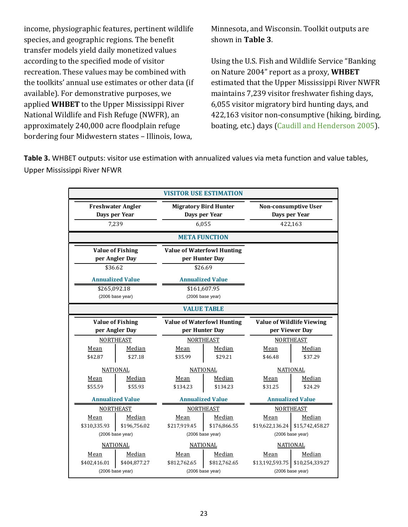income, physiographic features, pertinent wildlife species, and geographic regions. The benefit transfer models yield daily monetized values according to the specified mode of visitor recreation. These values may be combined with the toolkits' annual use estimates or other data (if available). For demonstrative purposes, we applied **WHBET** to the [Upper Mississippi River](http://www.fws.gov/refuge/upper_mississippi_river/)  [National Wildlife and Fish Refuge \(NWFR\),](http://www.fws.gov/refuge/upper_mississippi_river/) an approximately 240,000 acre floodplain refuge bordering four Midwestern states – Illinois, Iowa,

Minnesota, and Wisconsin. Toolkit outputs are shown in **Table 3**.

Using the U.S. Fish and Wildlife Service "Banking on Nature 2004" report as a proxy, **WHBET**  estimated that the Upper Mississippi River NWFR maintains 7,239 visitor freshwater fishing days, 6,055 visitor migratory bird hunting days, and 422,163 visitor non-consumptive (hiking, birding, boating, etc.) days [\(Caudill and Henderson 2005\)](https://www.fws.gov/refuges/about/pdfs/BankingOnNature_2004_finalt.pdf).

<span id="page-27-0"></span>**Table 3.** WHBET outputs: visitor use estimation with annualized values via meta function and value tables, Upper Mississippi River NFWR

| <b>VISITOR USE ESTIMATION</b>                                      |                                             |                                                                    |                                            |                                                         |                                               |
|--------------------------------------------------------------------|---------------------------------------------|--------------------------------------------------------------------|--------------------------------------------|---------------------------------------------------------|-----------------------------------------------|
| <b>Freshwater Angler</b><br>Days per Year<br>7.239                 |                                             | <b>Migratory Bird Hunter</b><br>Days per Year<br>6.055             |                                            | <b>Non-consumptive User</b><br>Days per Year<br>422,163 |                                               |
|                                                                    |                                             | <b>META FUNCTION</b>                                               |                                            |                                                         |                                               |
| <b>Value of Fishing</b><br>per Angler Day<br>\$36.62               |                                             | <b>Value of Waterfowl Hunting</b><br>per Hunter Day<br>\$26.69     |                                            |                                                         |                                               |
|                                                                    |                                             |                                                                    |                                            |                                                         |                                               |
| \$265,092.18                                                       | <b>Annualized Value</b><br>(2006 base year) | <b>Annualized Value</b><br>\$161,607.95<br>(2006 base year)        |                                            |                                                         |                                               |
|                                                                    |                                             | <b>VALUE TABLE</b>                                                 |                                            |                                                         |                                               |
| <b>Value of Fishing</b><br>per Angler Day                          |                                             | <b>Value of Waterfowl Hunting</b><br>per Hunter Day                |                                            | <b>Value of Wildlife Viewing</b><br>per Viewer Day      |                                               |
|                                                                    | <b>NORTHEAST</b>                            | <b>NORTHEAST</b>                                                   |                                            | <b>NORTHEAST</b>                                        |                                               |
| Mean<br>\$42.87                                                    | Median<br>\$27.18                           | Mean<br>\$35.99                                                    | Median<br>\$29.21                          | Mean<br>\$46.48                                         | Median<br>\$37.29                             |
|                                                                    | <b>NATIONAL</b>                             | <b>NATIONAL</b>                                                    |                                            | <b>NATIONAL</b>                                         |                                               |
| Mean<br>\$55.59                                                    | Median<br>\$55.93                           | Mean<br>\$134.23                                                   | Median<br>\$134.23                         | Mean<br>\$31.25                                         | Median<br>\$24.29                             |
|                                                                    | <b>Annualized Value</b>                     | <b>Annualized Value</b>                                            |                                            | <b>Annualized Value</b>                                 |                                               |
|                                                                    | <b>NORTHEAST</b>                            | <b>NORTHEAST</b>                                                   |                                            | <b>NORTHEAST</b>                                        |                                               |
| Mean<br>\$310,335.93                                               | Median<br>\$196,756.02<br>(2006 base year)  | Median<br>Mean<br>\$217,919.45<br>\$176,866.55<br>(2006 base year) |                                            | Mean<br>\$19,622,136.24                                 | Median<br>\$15,742,458.27<br>(2006 base year) |
| <b>NATIONAL</b>                                                    |                                             | <b>NATIONAL</b>                                                    |                                            | <b>NATIONAL</b>                                         |                                               |
| Median<br>Mean<br>\$404,877.27<br>\$402,416.01<br>(2006 base year) |                                             | Mean<br>\$812,762.65                                               | Median<br>\$812,762.65<br>(2006 base year) | Mean<br>\$13,192,593.75                                 | Median<br>\$10,254,339.27<br>(2006 base year) |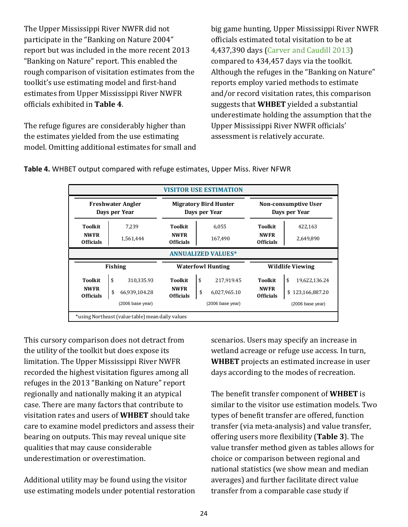The Upper Mississippi River NWFR did not participate in the "Banking on Nature 2004" report but was included in the more recent 2013 "Banking on Nature" report. This enabled the rough comparison of visitation estimates from the toolkit's use estimating model and first-hand estimates from Upper Mississippi River NWFR officials exhibited in **Table 4**.

The refuge figures are considerably higher than the estimates yielded from the use estimating model. Omitting additional estimates for small and big game hunting, Upper Mississippi River NWFR officials estimated total visitation to be at 4,437,390 days [\(Carver and Caudill 2013\)](http://www.fws.gov/refuges/about/refugereports/pdfs/BankingOnNature2013.pdf) compared to 434,457 days via the toolkit. Although the refuges in the "Banking on Nature" reports employ varied methods to estimate and/or record visitation rates, this comparison suggests that **WHBET** yielded a substantial underestimate holding the assumption that the Upper Mississippi River NWFR officials' assessment is relatively accurate.

**Toolkit** 7,239 **Toolkit** 6,055 **Toolkit** 422,163 **NWFR NWFR** 1,561,444 **NWFR**<br>**Officials** 1,561,444 **Officials Officials** 167,490 **NWFR**<br>**Officials** 167,490 **Officials NWFR** 2,649,890 **Toolkit** \$ 310,335.93 **Toolkit** \$ 217,919.45 **Toolkit** \$ 19,622,136.24 **NWFR NWFR**  $\begin{array}{c} \text{SWFR} \\ \text{66,939,104.28} \\ \text{100} \end{array}$  **NWFR Officials** \$ 6,027,965.10 **NWFR Officials** \$ 123,166,887.20 (2006 base year)  $\overline{\phantom{a}}$ **Waterfowl Hunting Non-consumptive User Days per Year Freshwater Angler Days per Year Migratory Bird Hunter Days per Year Fishing VISITOR USE ESTIMATION ANNUALIZED VALUES\*** \*using Northeast (value table) mean daily values **Wildlife Viewing** (2006 base year) (2006 base year)

<span id="page-28-0"></span>**Table 4.** WHBET output compared with refuge estimates, Upper Miss. River NFWR

This cursory comparison does not detract from the utility of the toolkit but does expose its limitation. The Upper Mississippi River NWFR recorded the highest visitation figures among all refuges in the 2013 "Banking on Nature" report regionally and nationally making it an atypical case. There are many factors that contribute to visitation rates and users of **WHBET** should take care to examine model predictors and assess their bearing on outputs. This may reveal unique site qualities that may cause considerable underestimation or overestimation.

Additional utility may be found using the visitor use estimating models under potential restoration scenarios. Users may specify an increase in wetland acreage or refuge use access. In turn, **WHBET** projects an estimated increase in user days according to the modes of recreation.

The benefit transfer component of **WHBET** is similar to the visitor use estimation models. Two types of benefit transfer are offered, function transfer (via meta-analysis) and value transfer, offering users more flexibility (**Table 3**). The value transfer method given as tables allows for choice or comparison between regional and national statistics (we show mean and median averages) and further facilitate direct value transfer from a comparable case study if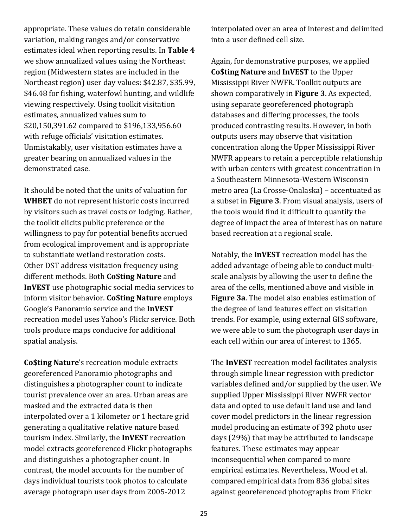appropriate. These values do retain considerable variation, making ranges and/or conservative estimates ideal when reporting results. In **Table 4**  we show annualized values using the Northeast region (Midwestern states are included in the Northeast region) user day values: \$42.87, \$35.99, \$46.48 for fishing, waterfowl hunting, and wildlife viewing respectively. Using toolkit visitation estimates, annualized values sum to \$20,150,391.62 compared to \$196,133,956.60 with refuge officials' visitation estimates. Unmistakably, user visitation estimates have a greater bearing on annualized values in the demonstrated case.

It should be noted that the units of valuation for **WHBET** do not represent historic costs incurred by visitors such as travel costs or lodging. Rather, the toolkit elicits public preference or the willingness to pay for potential benefits accrued from ecological improvement and is appropriate to substantiate wetland restoration costs. Other DST address visitation frequency using different methods. Both **Co\$ting Nature** and **InVEST** use photographic social media services to inform visitor behavior. **Co\$ting Nature** employs Google's Panoramio service and the **InVEST**  recreation model uses Yahoo's Flickr service. Both tools produce maps conducive for additional spatial analysis.

**Co\$ting Nature**'s recreation module extracts georeferenced Panoramio photographs and distinguishes a photographer count to indicate tourist prevalence over an area. Urban areas are masked and the extracted data is then interpolated over a 1 kilometer or 1 hectare grid generating a qualitative relative nature based tourism index. Similarly, the **InVEST** recreation model extracts georeferenced Flickr photographs and distinguishes a photographer count. In contrast, the model accounts for the number of days individual tourists took photos to calculate average photograph user days from 2005-2012

interpolated over an area of interest and delimited into a user defined cell size.

Again, for demonstrative purposes, we applied **Co\$ting Nature** and **InVEST** to the Upper Mississippi River NWFR. Toolkit outputs are shown comparatively in **Figure 3**. As expected, using separate georeferenced photograph databases and differing processes, the tools produced contrasting results. However, in both outputs users may observe that visitation concentration along the Upper Mississippi River NWFR appears to retain a perceptible relationship with urban centers with greatest concentration in a Southeastern Minnesota-Western Wisconsin metro area (La Crosse-Onalaska) – accentuated as a subset in **Figure 3**. From visual analysis, users of the tools would find it difficult to quantify the degree of impact the area of interest has on nature based recreation at a regional scale.

Notably, the **InVEST** recreation model has the added advantage of being able to conduct multiscale analysis by allowing the user to define the area of the cells, mentioned above and visible in **Figure 3a**. The model also enables estimation of the degree of land features effect on visitation trends. For example, using external GIS software, we were able to sum the photograph user days in each cell within our area of interest to 1365.

The **InVEST** recreation model facilitates analysis through simple linear regression with predictor variables defined and/or supplied by the user. We supplied Upper Mississippi River NWFR vector data and opted to use default land use and land cover model predictors in the linear regression model producing an estimate of 392 photo user days (29%) that may be attributed to landscape features. These estimates may appear inconsequential when compared to more empirical estimates. Nevertheless, Wood et al. compared empirical data from 836 global sites against georeferenced photographs from Flickr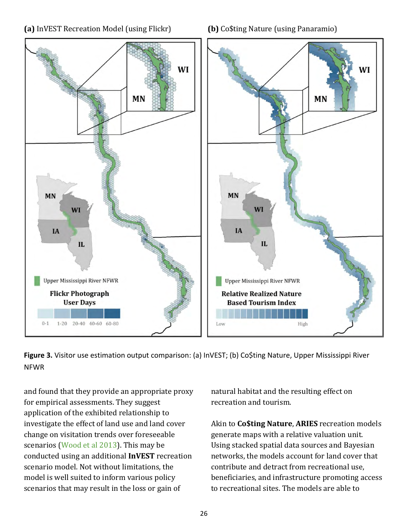



<span id="page-30-0"></span>**Figure 3.** Visitor use estimation output comparison: (a) InVEST; (b) Co\$ting Nature, Upper Mississippi River NFWR

and found that they provide an appropriate proxy for empirical assessments. They suggest application of the exhibited relationship to investigate the effect of land use and land cover change on visitation trends over foreseeable scenarios [\(Wood et al 2013\)](http://www.nature.com/articles/srep02976). This may be conducted using an additional **InVEST** recreation scenario model. Not without limitations, the model is well suited to inform various policy scenarios that may result in the loss or gain of

natural habitat and the resulting effect on recreation and tourism.

Akin to **Co\$ting Nature**, **ARIES** recreation models generate maps with a relative valuation unit. Using stacked spatial data sources and Bayesian networks, the models account for land cover that contribute and detract from recreational use, beneficiaries, and infrastructure promoting access to recreational sites. The models are able to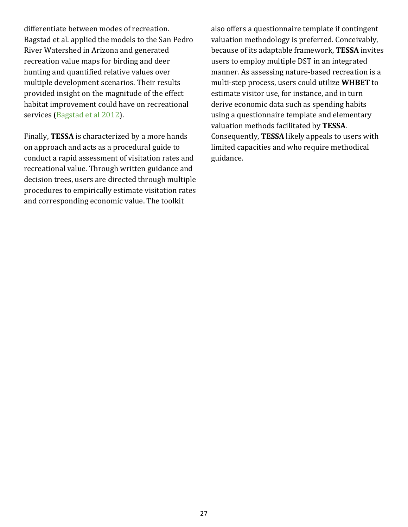differentiate between modes of recreation. Bagstad et al. applied the models to the San Pedro River Watershed in Arizona and generated recreation value maps for birding and deer hunting and quantified relative values over multiple development scenarios. Their results provided insight on the magnitude of the effect habitat improvement could have on recreational services [\(Bagstad et al 2012\)](http://pubs.usgs.gov/sir/2012/5251/).

Finally, **TESSA** is characterized by a more hands on approach and acts as a procedural guide to conduct a rapid assessment of visitation rates and recreational value. Through written guidance and decision trees, users are directed through multiple procedures to empirically estimate visitation rates and corresponding economic value. The toolkit

also offers a questionnaire template if contingent valuation methodology is preferred. Conceivably, because of its adaptable framework, **TESSA** invites users to employ multiple DST in an integrated manner. As assessing nature-based recreation is a multi-step process, users could utilize **WHBET** to estimate visitor use, for instance, and in turn derive economic data such as spending habits using a questionnaire template and elementary valuation methods facilitated by **TESSA**. Consequently, **TESSA** likely appeals to users with limited capacities and who require methodical guidance.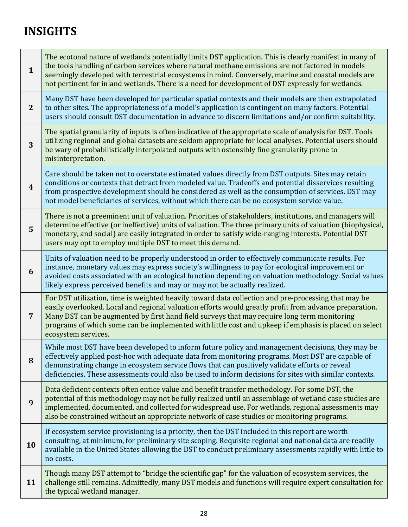# <span id="page-32-0"></span>**INSIGHTS**

| $\mathbf{1}$     | The ecotonal nature of wetlands potentially limits DST application. This is clearly manifest in many of<br>the tools handling of carbon services where natural methane emissions are not factored in models<br>seemingly developed with terrestrial ecosystems in mind. Conversely, marine and coastal models are<br>not pertinent for inland wetlands. There is a need for development of DST expressly for wetlands.                       |
|------------------|----------------------------------------------------------------------------------------------------------------------------------------------------------------------------------------------------------------------------------------------------------------------------------------------------------------------------------------------------------------------------------------------------------------------------------------------|
| $\mathbf{2}$     | Many DST have been developed for particular spatial contexts and their models are then extrapolated<br>to other sites. The appropriateness of a model's application is contingent on many factors. Potential<br>users should consult DST documentation in advance to discern limitations and/or confirm suitability.                                                                                                                         |
| 3                | The spatial granularity of inputs is often indicative of the appropriate scale of analysis for DST. Tools<br>utilizing regional and global datasets are seldom appropriate for local analyses. Potential users should<br>be wary of probabilistically interpolated outputs with ostensibly fine granularity prone to<br>misinterpretation.                                                                                                   |
| $\boldsymbol{4}$ | Care should be taken not to overstate estimated values directly from DST outputs. Sites may retain<br>conditions or contexts that detract from modeled value. Tradeoffs and potential disservices resulting<br>from prospective development should be considered as well as the consumption of services. DST may<br>not model beneficiaries of services, without which there can be no ecosystem service value.                              |
| 5                | There is not a preeminent unit of valuation. Priorities of stakeholders, institutions, and managers will<br>determine effective (or ineffective) units of valuation. The three primary units of valuation (biophysical,<br>monetary, and social) are easily integrated in order to satisfy wide-ranging interests. Potential DST<br>users may opt to employ multiple DST to meet this demand.                                                |
| 6                | Units of valuation need to be properly understood in order to effectively communicate results. For<br>instance, monetary values may express society's willingness to pay for ecological improvement or<br>avoided costs associated with an ecological function depending on valuation methodology. Social values<br>likely express perceived benefits and may or may not be actually realized.                                               |
| $\overline{7}$   | For DST utilization, time is weighted heavily toward data collection and pre-processing that may be<br>easily overlooked. Local and regional valuation efforts would greatly profit from advance preparation.<br>Many DST can be augmented by first hand field surveys that may require long term monitoring<br>programs of which some can be implemented with little cost and upkeep if emphasis is placed on select<br>ecosystem services. |
| 8                | While most DST have been developed to inform future policy and management decisions, they may be<br>effectively applied post-hoc with adequate data from monitoring programs. Most DST are capable of<br>demonstrating change in ecosystem service flows that can positively validate efforts or reveal<br>deficiencies. These assessments could also be used to inform decisions for sites with similar contexts.                           |
| 9                | Data deficient contexts often entice value and benefit transfer methodology. For some DST, the<br>potential of this methodology may not be fully realized until an assemblage of wetland case studies are<br>implemented, documented, and collected for widespread use. For wetlands, regional assessments may<br>also be constrained without an appropriate network of case studies or monitoring programs.                                 |
| 10               | If ecosystem service provisioning is a priority, then the DST included in this report are worth<br>consulting, at minimum, for preliminary site scoping. Requisite regional and national data are readily<br>available in the United States allowing the DST to conduct preliminary assessments rapidly with little to<br>no costs.                                                                                                          |
| 11               | Though many DST attempt to "bridge the scientific gap" for the valuation of ecosystem services, the<br>challenge still remains. Admittedly, many DST models and functions will require expert consultation for<br>the typical wetland manager.                                                                                                                                                                                               |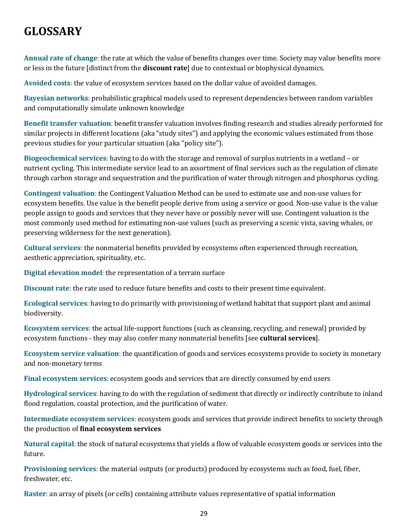# <span id="page-33-0"></span>**GLOSSARY**

**Annual rate of change**: the rate at which the value of benefits changes over time. Society may value benefits more or less in the future [distinct from the **discount rate**] due to contextual or biophysical dynamics.

**Avoided costs**: the value of ecosystem services based on the dollar value of avoided damages.

**Bayesian networks**: probabilistic graphical models used to represent dependencies between random variables and computationally simulate unknown knowledge

**Benefit transfer valuation**: benefit transfer valuation involves finding research and studies already performed for similar projects in different locations (aka "study sites") and applying the economic values estimated from those previous studies for your particular situation (aka "policy site").

**Biogeochemical services**: having to do with the storage and removal of surplus nutrients in a wetland – or nutrient cycling. This intermediate service lead to an assortment of final services such as the regulation of climate through carbon storage and sequestration and the purification of water through nitrogen and phosphorus cycling.

**Contingent valuation**: the Contingent Valuation Method can be used to estimate use and non-use values for ecosystem benefits. Use value is the benefit people derive from using a service or good. Non-use value is the value people assign to goods and services that they never have or possibly never will use. Contingent valuation is the most commonly used method for estimating non-use values (such as preserving a scenic vista, saving whales, or preserving wilderness for the next generation).

**Cultural services**: the nonmaterial benefits provided by ecosystems often experienced through recreation, aesthetic appreciation, spirituality, etc.

**Digital elevation model**: the representation of a terrain surface

**Discount rate**: the rate used to reduce future benefits and costs to their present time equivalent.

**Ecological services**: having to do primarily with provisioning of wetland habitat that support plant and animal biodiversity.

**Ecosystem services**: the actual life-support functions (such as cleansing, recycling, and renewal) provided by ecosystem functions - they may also confer many nonmaterial benefits [see **cultural services**].

**Ecosystem service valuation**: the quantification of goods and services ecosystems provide to society in monetary and non-monetary terms

**Final ecosystem services**: ecosystem goods and services that are directly consumed by end users

**Hydrological services**: having to do with the regulation of sediment that directly or indirectly contribute to inland flood regulation, coastal protection, and the purification of water.

**Intermediate ecosystem services**: ecosystem goods and services that provide indirect benefits to society through the production of **final ecosystem services**

**Natural capital**: the stock of natural ecosystems that yields a flow of valuable ecosystem goods or services into the future.

**Provisioning services**: the material outputs (or products) produced by ecosystems such as food, fuel, fiber, freshwater, etc.

**Raster**: an array of pixels (or cells) containing attribute values representative of spatial information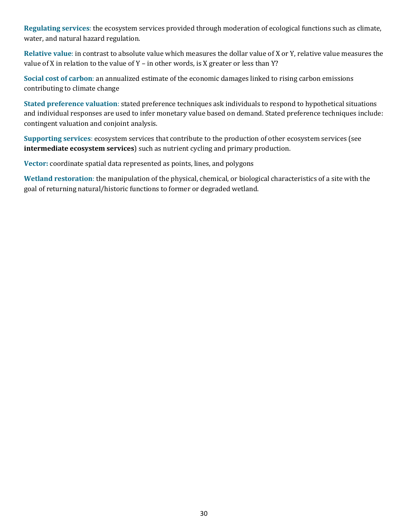**Regulating services**: the ecosystem services provided through moderation of ecological functions such as climate, water, and natural hazard regulation.

**Relative value**: in contrast to absolute value which measures the dollar value of X or Y, relative value measures the value of X in relation to the value of Y – in other words, is X greater or less than Y?

**Social cost of carbon**: an annualized estimate of the economic damages linked to rising carbon emissions contributing to climate change

**Stated preference valuation**: stated preference techniques ask individuals to respond to hypothetical situations and individual responses are used to infer monetary value based on demand. Stated preference techniques include: contingent valuation and conjoint analysis.

**Supporting services**: ecosystem services that contribute to the production of other ecosystem services (see **intermediate ecosystem services**) such as nutrient cycling and primary production.

**Vector:** coordinate spatial data represented as points, lines, and polygons

**Wetland restoration**: the manipulation of the physical, chemical, or biological characteristics of a site with the goal of returning natural/historic functions to former or degraded wetland.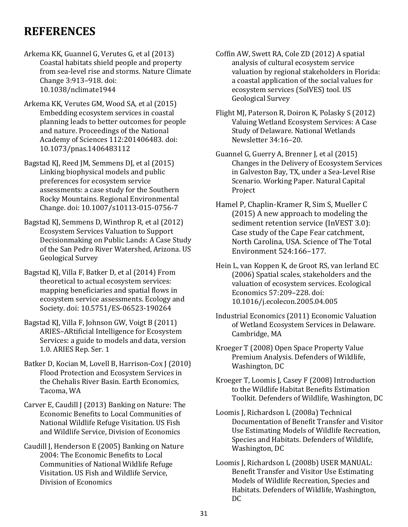## <span id="page-35-0"></span>**REFERENCES**

- Arkema KK, Guannel G, Verutes G, et al (2013) Coastal habitats shield people and property from sea-level rise and storms. Nature Climate Change 3:913–918. doi: 10.1038/nclimate1944
- Arkema KK, Verutes GM, Wood SA, et al (2015) Embedding ecosystem services in coastal planning leads to better outcomes for people and nature. Proceedings of the National Academy of Sciences 112:201406483. doi: 10.1073/pnas.1406483112
- Bagstad KJ, Reed JM, Semmens DJ, et al (2015) Linking biophysical models and public preferences for ecosystem service assessments: a case study for the Southern Rocky Mountains. Regional Environmental Change. doi: 10.1007/s10113-015-0756-7
- Bagstad KJ, Semmens D, Winthrop R, et al (2012) Ecosystem Services Valuation to Support Decisionmaking on Public Lands: A Case Study of the San Pedro River Watershed, Arizona. US Geological Survey
- Bagstad KJ, Villa F, Batker D, et al (2014) From theoretical to actual ecosystem services: mapping beneficiaries and spatial flows in ecosystem service assessments. Ecology and Society. doi: 10.5751/ES-06523-190264
- Bagstad KJ, Villa F, Johnson GW, Voigt B (2011) ARIES–ARtificial Intelligence for Ecosystem Services: a guide to models and data, version 1.0. ARIES Rep. Ser. 1
- Batker D, Kocian M, Lovell B, Harrison-Cox J (2010) Flood Protection and Ecosystem Services in the Chehalis River Basin. Earth Economics, Tacoma, WA
- Carver E, Caudill J (2013) Banking on Nature: The Economic Benefits to Local Communities of National Wildlife Refuge Visitation. US Fish and Wildlife Service, Division of Economics
- Caudill J, Henderson E (2005) Banking on Nature 2004: The Economic Benefits to Local Communities of National Wildlife Refuge Visitation. US Fish and Wildlife Service, Division of Economics
- Coffin AW, Swett RA, Cole ZD (2012) A spatial analysis of cultural ecosystem service valuation by regional stakeholders in Florida: a coastal application of the social values for ecosystem services (SolVES) tool. US Geological Survey
- Flight MJ, Paterson R, Doiron K, Polasky S (2012) Valuing Wetland Ecosystem Services: A Case Study of Delaware. National Wetlands Newsletter 34:16–20.
- Guannel G, Guerry A, Brenner J, et al (2015) Changes in the Delivery of Ecosystem Services in Galveston Bay, TX, under a Sea-Level Rise Scenario. Working Paper. Natural Capital Project
- Hamel P, Chaplin-Kramer R, Sim S, Mueller C (2015) A new approach to modeling the sediment retention service (InVEST 3.0): Case study of the Cape Fear catchment, North Carolina, USA. Science of The Total Environment 524:166–177.
- Hein L, van Koppen K, de Groot RS, van Ierland EC (2006) Spatial scales, stakeholders and the valuation of ecosystem services. Ecological Economics 57:209–228. doi: 10.1016/j.ecolecon.2005.04.005
- Industrial Economics (2011) Economic Valuation of Wetland Ecosystem Services in Delaware. Cambridge, MA
- Kroeger T (2008) Open Space Property Value Premium Analysis. Defenders of Wildlife, Washington, DC
- Kroeger T, Loomis J, Casey F (2008) Introduction to the Wildlife Habitat Benefits Estimation Toolkit. Defenders of Wildlife, Washington, DC
- Loomis J, Richardson L (2008a) Technical Documentation of Benefit Transfer and Visitor Use Estimating Models of Wildlife Recreation, Species and Habitats. Defenders of Wildlife, Washington, DC
- Loomis J, Richardson L (2008b) USER MANUAL: Benefit Transfer and Visitor Use Estimating Models of Wildlife Recreation, Species and Habitats. Defenders of Wildlife, Washington, DC